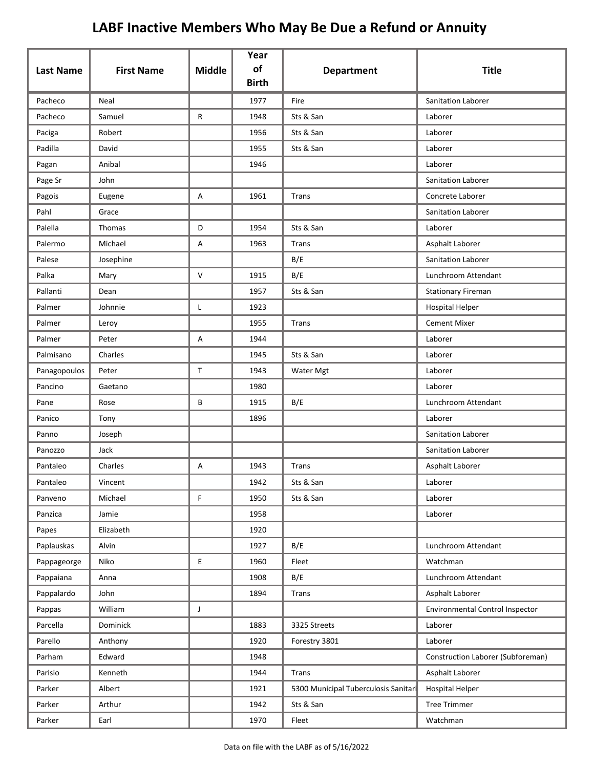| <b>Last Name</b> | <b>First Name</b> | <b>Middle</b> | Year<br>of<br><b>Birth</b> | <b>Department</b>                    | <b>Title</b>                           |
|------------------|-------------------|---------------|----------------------------|--------------------------------------|----------------------------------------|
| Pacheco          | Neal              |               | 1977                       | Fire                                 | Sanitation Laborer                     |
| Pacheco          | Samuel            | R             | 1948                       | Sts & San                            | Laborer                                |
| Paciga           | Robert            |               | 1956                       | Sts & San                            | Laborer                                |
| Padilla          | David             |               | 1955                       | Sts & San                            | Laborer                                |
| Pagan            | Anibal            |               | 1946                       |                                      | Laborer                                |
| Page Sr          | John              |               |                            |                                      | Sanitation Laborer                     |
| Pagois           | Eugene            | Α             | 1961                       | Trans                                | Concrete Laborer                       |
| Pahl             | Grace             |               |                            |                                      | Sanitation Laborer                     |
| Palella          | Thomas            | D             | 1954                       | Sts & San                            | Laborer                                |
| Palermo          | Michael           | Α             | 1963                       | Trans                                | Asphalt Laborer                        |
| Palese           | Josephine         |               |                            | B/E                                  | Sanitation Laborer                     |
| Palka            | Mary              | $\vee$        | 1915                       | B/E                                  | Lunchroom Attendant                    |
| Pallanti         | Dean              |               | 1957                       | Sts & San                            | <b>Stationary Fireman</b>              |
| Palmer           | Johnnie           | L             | 1923                       |                                      | <b>Hospital Helper</b>                 |
| Palmer           | Leroy             |               | 1955                       | Trans                                | <b>Cement Mixer</b>                    |
| Palmer           | Peter             | Α             | 1944                       |                                      | Laborer                                |
| Palmisano        | Charles           |               | 1945                       | Sts & San                            | Laborer                                |
| Panagopoulos     | Peter             | $\mathsf{T}$  | 1943                       | Water Mgt                            | Laborer                                |
| Pancino          | Gaetano           |               | 1980                       |                                      | Laborer                                |
| Pane             | Rose              | В             | 1915                       | B/E                                  | Lunchroom Attendant                    |
| Panico           | Tony              |               | 1896                       |                                      | Laborer                                |
| Panno            | Joseph            |               |                            |                                      | <b>Sanitation Laborer</b>              |
| Panozzo          | Jack              |               |                            |                                      | Sanitation Laborer                     |
| Pantaleo         | Charles           | Α             | 1943                       | <b>Trans</b>                         | Asphalt Laborer                        |
| Pantaleo         | Vincent           |               | 1942                       | Sts & San                            | Laborer                                |
| Panveno          | Michael           | F             | 1950                       | Sts & San                            | Laborer                                |
| Panzica          | Jamie             |               | 1958                       |                                      | Laborer                                |
| Papes            | Elizabeth         |               | 1920                       |                                      |                                        |
| Paplauskas       | Alvin             |               | 1927                       | B/E                                  | Lunchroom Attendant                    |
| Pappageorge      | Niko              | E             | 1960                       | Fleet                                | Watchman                               |
| Pappaiana        | Anna              |               | 1908                       | B/E                                  | Lunchroom Attendant                    |
| Pappalardo       | John              |               | 1894                       | Trans                                | Asphalt Laborer                        |
| Pappas           | William           | J             |                            |                                      | <b>Environmental Control Inspector</b> |
| Parcella         | Dominick          |               | 1883                       | 3325 Streets                         | Laborer                                |
| Parello          | Anthony           |               | 1920                       | Forestry 3801                        | Laborer                                |
| Parham           | Edward            |               | 1948                       |                                      | Construction Laborer (Subforeman)      |
| Parisio          | Kenneth           |               | 1944                       | Trans                                | Asphalt Laborer                        |
| Parker           | Albert            |               | 1921                       | 5300 Municipal Tuberculosis Sanitari | <b>Hospital Helper</b>                 |
| Parker           | Arthur            |               | 1942                       | Sts & San                            | <b>Tree Trimmer</b>                    |
| Parker           | Earl              |               | 1970                       | Fleet                                | Watchman                               |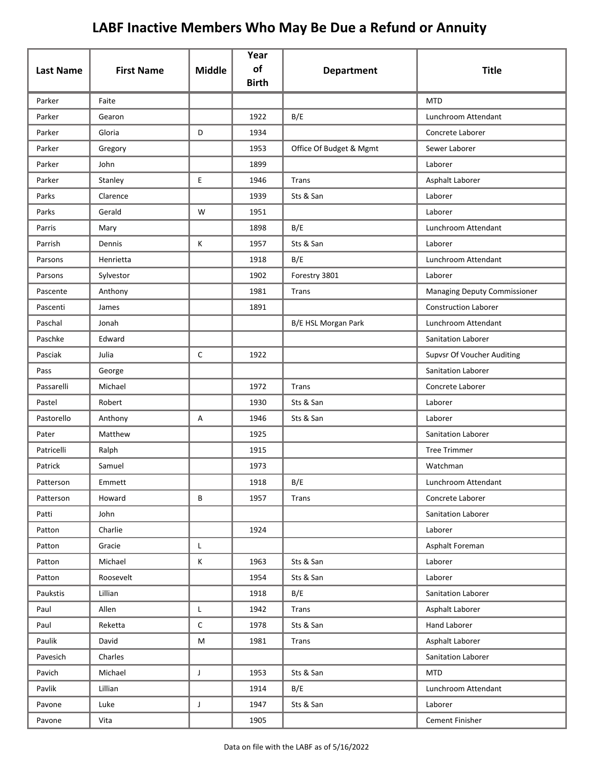|                  |                   |               | Year<br>of   |                         |                                     |
|------------------|-------------------|---------------|--------------|-------------------------|-------------------------------------|
| <b>Last Name</b> | <b>First Name</b> | <b>Middle</b> | <b>Birth</b> | <b>Department</b>       | <b>Title</b>                        |
| Parker           | Faite             |               |              |                         | <b>MTD</b>                          |
| Parker           | Gearon            |               | 1922         | B/E                     | Lunchroom Attendant                 |
| Parker           | Gloria            | D             | 1934         |                         | Concrete Laborer                    |
| Parker           | Gregory           |               | 1953         | Office Of Budget & Mgmt | Sewer Laborer                       |
| Parker           | John              |               | 1899         |                         | Laborer                             |
| Parker           | Stanley           | E             | 1946         | Trans                   | Asphalt Laborer                     |
| Parks            | Clarence          |               | 1939         | Sts & San               | Laborer                             |
| Parks            | Gerald            | W             | 1951         |                         | Laborer                             |
| Parris           | Mary              |               | 1898         | B/E                     | Lunchroom Attendant                 |
| Parrish          | Dennis            | К             | 1957         | Sts & San               | Laborer                             |
| Parsons          | Henrietta         |               | 1918         | B/E                     | Lunchroom Attendant                 |
| Parsons          | Sylvestor         |               | 1902         | Forestry 3801           | Laborer                             |
| Pascente         | Anthony           |               | 1981         | Trans                   | <b>Managing Deputy Commissioner</b> |
| Pascenti         | James             |               | 1891         |                         | <b>Construction Laborer</b>         |
| Paschal          | Jonah             |               |              | B/E HSL Morgan Park     | Lunchroom Attendant                 |
| Paschke          | Edward            |               |              |                         | Sanitation Laborer                  |
| Pasciak          | Julia             | C             | 1922         |                         | Supvsr Of Voucher Auditing          |
| Pass             | George            |               |              |                         | Sanitation Laborer                  |
| Passarelli       | Michael           |               | 1972         | Trans                   | Concrete Laborer                    |
| Pastel           | Robert            |               | 1930         | Sts & San               | Laborer                             |
| Pastorello       | Anthony           | Α             | 1946         | Sts & San               | Laborer                             |
| Pater            | Matthew           |               | 1925         |                         | <b>Sanitation Laborer</b>           |
| Patricelli       | Ralph             |               | 1915         |                         | <b>Tree Trimmer</b>                 |
| Patrick          | Samuel            |               | 1973         |                         | Watchman                            |
| Patterson        | Emmett            |               | 1918         | B/E                     | Lunchroom Attendant                 |
| Patterson        | Howard            | B             | 1957         | Trans                   | Concrete Laborer                    |
| Patti            | John              |               |              |                         | Sanitation Laborer                  |
| Patton           | Charlie           |               | 1924         |                         | Laborer                             |
| Patton           | Gracie            | L             |              |                         | Asphalt Foreman                     |
| Patton           | Michael           | Κ             | 1963         | Sts & San               | Laborer                             |
| Patton           | Roosevelt         |               | 1954         | Sts & San               | Laborer                             |
| Paukstis         | Lillian           |               | 1918         | B/E                     | Sanitation Laborer                  |
| Paul             | Allen             | L             | 1942         | Trans                   | Asphalt Laborer                     |
| Paul             | Reketta           | $\mathsf C$   | 1978         | Sts & San               | Hand Laborer                        |
| Paulik           | David             | M             | 1981         | <b>Trans</b>            | Asphalt Laborer                     |
| Pavesich         | Charles           |               |              |                         | Sanitation Laborer                  |
| Pavich           | Michael           | $\mathsf{J}$  | 1953         | Sts & San               | <b>MTD</b>                          |
| Pavlik           | Lillian           |               | 1914         | B/E                     | Lunchroom Attendant                 |
| Pavone           | Luke              | $\mathsf J$   | 1947         | Sts & San               | Laborer                             |
| Pavone           | Vita              |               | 1905         |                         | Cement Finisher                     |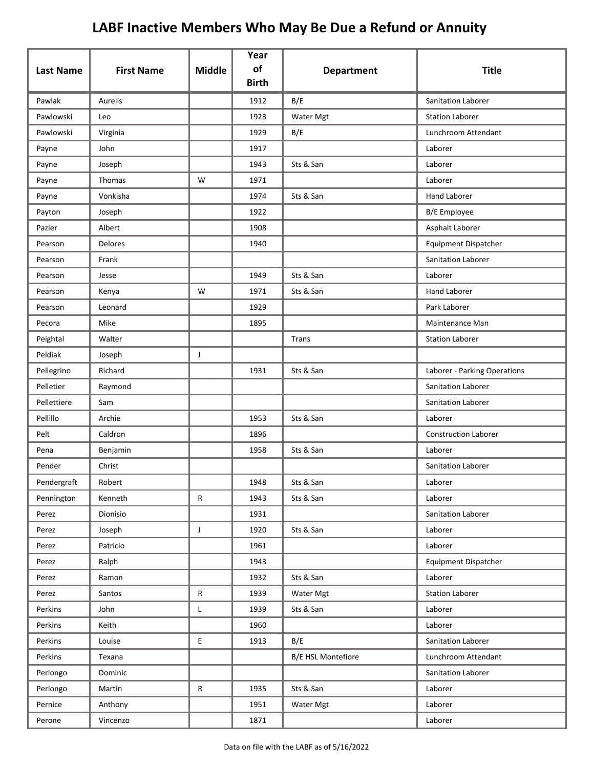| <b>Last Name</b> | <b>First Name</b> | <b>Middle</b> | Year<br>of   | <b>Department</b>  | <b>Title</b>                 |
|------------------|-------------------|---------------|--------------|--------------------|------------------------------|
|                  |                   |               | <b>Birth</b> |                    |                              |
| Pawlak           | Aurelis           |               | 1912         | B/E                | Sanitation Laborer           |
| Pawlowski        | Leo               |               | 1923         | Water Mgt          | <b>Station Laborer</b>       |
| Pawlowski        | Virginia          |               | 1929         | B/E                | Lunchroom Attendant          |
| Payne            | John              |               | 1917         |                    | Laborer                      |
| Payne            | Joseph            |               | 1943         | Sts & San          | Laborer                      |
| Payne            | Thomas            | W             | 1971         |                    | Laborer                      |
| Payne            | Vonkisha          |               | 1974         | Sts & San          | Hand Laborer                 |
| Payton           | Joseph            |               | 1922         |                    | <b>B/E</b> Employee          |
| Pazier           | Albert            |               | 1908         |                    | Asphalt Laborer              |
| Pearson          | Delores           |               | 1940         |                    | <b>Equipment Dispatcher</b>  |
| Pearson          | Frank             |               |              |                    | Sanitation Laborer           |
| Pearson          | Jesse             |               | 1949         | Sts & San          | Laborer                      |
| Pearson          | Kenya             | W             | 1971         | Sts & San          | <b>Hand Laborer</b>          |
| Pearson          | Leonard           |               | 1929         |                    | Park Laborer                 |
| Pecora           | Mike              |               | 1895         |                    | Maintenance Man              |
| Peightal         | Walter            |               |              | Trans              | <b>Station Laborer</b>       |
| Peldiak          | Joseph            | J             |              |                    |                              |
| Pellegrino       | Richard           |               | 1931         | Sts & San          | Laborer - Parking Operations |
| Pelletier        | Raymond           |               |              |                    | Sanitation Laborer           |
| Pellettiere      | Sam               |               |              |                    | Sanitation Laborer           |
| Pellillo         | Archie            |               | 1953         | Sts & San          | Laborer                      |
| Pelt             | Caldron           |               | 1896         |                    | <b>Construction Laborer</b>  |
| Pena             | Benjamin          |               | 1958         | Sts & San          | Laborer                      |
| Pender           | Christ            |               |              |                    | Sanitation Laborer           |
| Pendergraft      | Robert            |               | 1948         | Sts & San          | Laborer                      |
| Pennington       | Kenneth           | $\mathsf{R}$  | 1943         | Sts & San          | Laborer                      |
| Perez            | Dionisio          |               | 1931         |                    | Sanitation Laborer           |
| Perez            | Joseph            | $\mathsf J$   | 1920         | Sts & San          | Laborer                      |
| Perez            | Patricio          |               | 1961         |                    | Laborer                      |
| Perez            | Ralph             |               | 1943         |                    | <b>Equipment Dispatcher</b>  |
| Perez            | Ramon             |               | 1932         | Sts & San          | Laborer                      |
| Perez            | Santos            | $\mathsf{R}$  | 1939         | Water Mgt          | <b>Station Laborer</b>       |
| Perkins          | John              | L             | 1939         | Sts & San          | Laborer                      |
| Perkins          | Keith             |               | 1960         |                    | Laborer                      |
| Perkins          | Louise            | E             | 1913         | B/E                | Sanitation Laborer           |
| Perkins          | Texana            |               |              | B/E HSL Montefiore | Lunchroom Attendant          |
| Perlongo         | Dominic           |               |              |                    | Sanitation Laborer           |
| Perlongo         | Martin            | ${\sf R}$     | 1935         | Sts & San          | Laborer                      |
| Pernice          | Anthony           |               | 1951         | Water Mgt          | Laborer                      |
| Perone           | Vincenzo          |               | 1871         |                    | Laborer                      |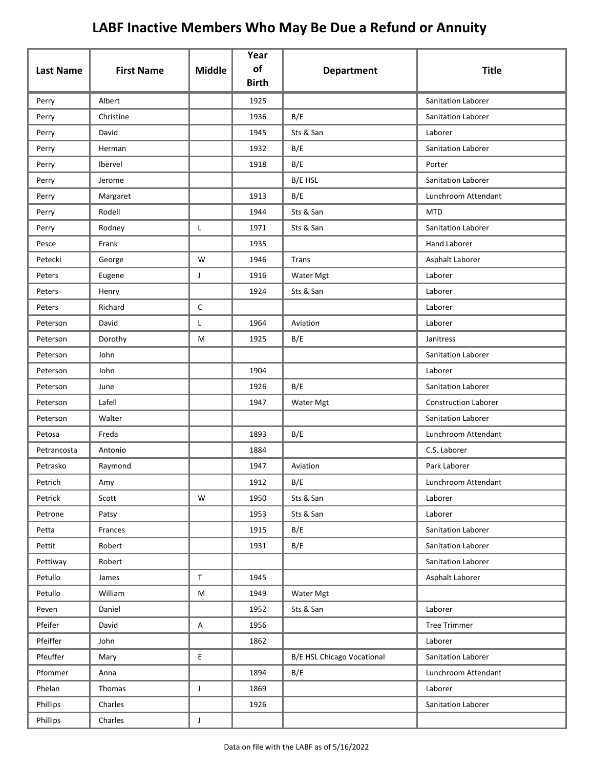| <b>Last Name</b> | <b>First Name</b> | <b>Middle</b> | Year<br>of<br><b>Birth</b> | <b>Department</b>                 | <b>Title</b>                |
|------------------|-------------------|---------------|----------------------------|-----------------------------------|-----------------------------|
| Perry            | Albert            |               | 1925                       |                                   | <b>Sanitation Laborer</b>   |
| Perry            | Christine         |               | 1936                       | B/E                               | Sanitation Laborer          |
| Perry            | David             |               | 1945                       | Sts & San                         | Laborer                     |
| Perry            | Herman            |               | 1932                       | B/E                               | Sanitation Laborer          |
| Perry            | Ibervel           |               | 1918                       | B/E                               | Porter                      |
| Perry            | Jerome            |               |                            | B/E HSL                           | Sanitation Laborer          |
| Perry            | Margaret          |               | 1913                       | B/E                               | Lunchroom Attendant         |
| Perry            | Rodell            |               | 1944                       | Sts & San                         | <b>MTD</b>                  |
| Perry            | Rodney            | Г             | 1971                       | Sts & San                         | <b>Sanitation Laborer</b>   |
| Pesce            | Frank             |               | 1935                       |                                   | <b>Hand Laborer</b>         |
| Petecki          | George            | W             | 1946                       | Trans                             | Asphalt Laborer             |
| Peters           | Eugene            | J             | 1916                       | Water Mgt                         | Laborer                     |
| Peters           | Henry             |               | 1924                       | Sts & San                         | Laborer                     |
| Peters           | Richard           | С             |                            |                                   | Laborer                     |
| Peterson         | David             | L             | 1964                       | Aviation                          | Laborer                     |
| Peterson         | Dorothy           | М             | 1925                       | B/E                               | Janitress                   |
| Peterson         | John              |               |                            |                                   | <b>Sanitation Laborer</b>   |
| Peterson         | John              |               | 1904                       |                                   | Laborer                     |
| Peterson         | June              |               | 1926                       | B/E                               | Sanitation Laborer          |
| Peterson         | Lafell            |               | 1947                       | Water Mgt                         | <b>Construction Laborer</b> |
| Peterson         | Walter            |               |                            |                                   | Sanitation Laborer          |
| Petosa           | Freda             |               | 1893                       | B/E                               | Lunchroom Attendant         |
| Petrancosta      | Antonio           |               | 1884                       |                                   | C.S. Laborer                |
| Petrasko         | Raymond           |               | 1947                       | Aviation                          | Park Laborer                |
| Petrich          | Amy               |               | 1912                       | B/E                               | Lunchroom Attendant         |
| Petrick          | Scott             | W             | 1950                       | Sts & San                         | Laborer                     |
| Petrone          | Patsy             |               | 1953                       | Sts & San                         | Laborer                     |
| Petta            | Frances           |               | 1915                       | B/E                               | Sanitation Laborer          |
| Pettit           | Robert            |               | 1931                       | B/E                               | Sanitation Laborer          |
| Pettiway         | Robert            |               |                            |                                   | Sanitation Laborer          |
| Petullo          | James             | $\mathsf T$   | 1945                       |                                   | Asphalt Laborer             |
| Petullo          | William           | M             | 1949                       | Water Mgt                         |                             |
| Peven            | Daniel            |               | 1952                       | Sts & San                         | Laborer                     |
| Pfeifer          | David             | Α             | 1956                       |                                   | <b>Tree Trimmer</b>         |
| Pfeiffer         | John              |               | 1862                       |                                   | Laborer                     |
| Pfeuffer         | Mary              | E             |                            | <b>B/E HSL Chicago Vocational</b> | Sanitation Laborer          |
| Pfommer          | Anna              |               | 1894                       | B/E                               | Lunchroom Attendant         |
| Phelan           | Thomas            | $\mathsf J$   | 1869                       |                                   | Laborer                     |
| Phillips         | Charles           |               | 1926                       |                                   | Sanitation Laborer          |
| Phillips         | Charles           | $\mathsf{J}$  |                            |                                   |                             |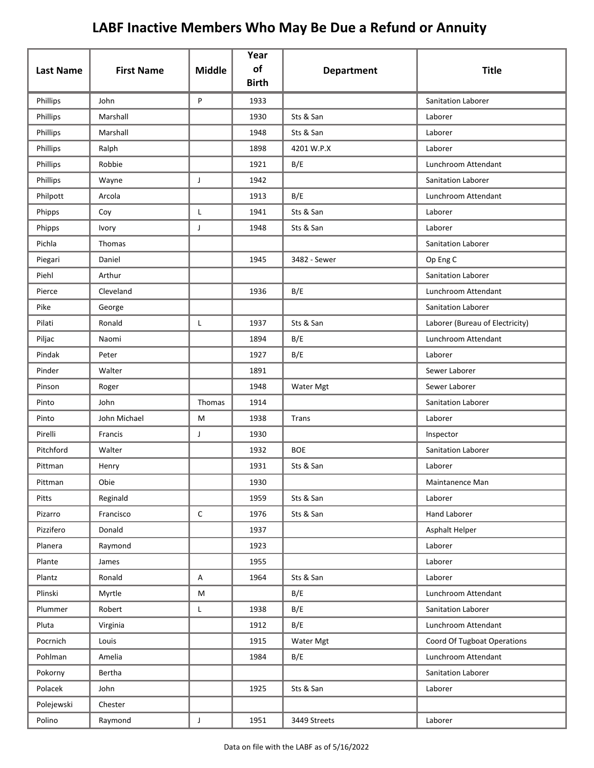| <b>Last Name</b> | <b>First Name</b> | <b>Middle</b> | Year<br>of<br><b>Birth</b> | <b>Department</b> | <b>Title</b>                    |
|------------------|-------------------|---------------|----------------------------|-------------------|---------------------------------|
| Phillips         | John              | P             | 1933                       |                   | <b>Sanitation Laborer</b>       |
| Phillips         | Marshall          |               | 1930                       | Sts & San         | Laborer                         |
| Phillips         | Marshall          |               | 1948                       | Sts & San         | Laborer                         |
| Phillips         | Ralph             |               | 1898                       | 4201 W.P.X        | Laborer                         |
| Phillips         | Robbie            |               | 1921                       | B/E               | Lunchroom Attendant             |
| Phillips         | Wayne             | J             | 1942                       |                   | Sanitation Laborer              |
| Philpott         | Arcola            |               | 1913                       | B/E               | Lunchroom Attendant             |
| Phipps           | Coy               | Г             | 1941                       | Sts & San         | Laborer                         |
| Phipps           | Ivory             | J             | 1948                       | Sts & San         | Laborer                         |
| Pichla           | Thomas            |               |                            |                   | <b>Sanitation Laborer</b>       |
| Piegari          | Daniel            |               | 1945                       | 3482 - Sewer      | Op Eng C                        |
| Piehl            | Arthur            |               |                            |                   | Sanitation Laborer              |
| Pierce           | Cleveland         |               | 1936                       | B/E               | Lunchroom Attendant             |
| Pike             | George            |               |                            |                   | Sanitation Laborer              |
| Pilati           | Ronald            | L             | 1937                       | Sts & San         | Laborer (Bureau of Electricity) |
| Piljac           | Naomi             |               | 1894                       | B/E               | Lunchroom Attendant             |
| Pindak           | Peter             |               | 1927                       | B/E               | Laborer                         |
| Pinder           | Walter            |               | 1891                       |                   | Sewer Laborer                   |
| Pinson           | Roger             |               | 1948                       | Water Mgt         | Sewer Laborer                   |
| Pinto            | John              | Thomas        | 1914                       |                   | <b>Sanitation Laborer</b>       |
| Pinto            | John Michael      | М             | 1938                       | Trans             | Laborer                         |
| Pirelli          | Francis           | J             | 1930                       |                   | Inspector                       |
| Pitchford        | Walter            |               | 1932                       | <b>BOE</b>        | Sanitation Laborer              |
| Pittman          | Henry             |               | 1931                       | Sts & San         | Laborer                         |
| Pittman          | Obie              |               | 1930                       |                   | Maintanence Man                 |
| Pitts            | Reginald          |               | 1959                       | Sts & San         | Laborer                         |
| Pizarro          | Francisco         | С             | 1976                       | Sts & San         | Hand Laborer                    |
| Pizzifero        | Donald            |               | 1937                       |                   | Asphalt Helper                  |
| Planera          | Raymond           |               | 1923                       |                   | Laborer                         |
| Plante           | James             |               | 1955                       |                   | Laborer                         |
| Plantz           | Ronald            | Α             | 1964                       | Sts & San         | Laborer                         |
| Plinski          | Myrtle            | M             |                            | B/E               | Lunchroom Attendant             |
| Plummer          | Robert            | Г             | 1938                       | B/E               | Sanitation Laborer              |
| Pluta            | Virginia          |               | 1912                       | B/E               | Lunchroom Attendant             |
| Pocrnich         | Louis             |               | 1915                       | Water Mgt         | Coord Of Tugboat Operations     |
| Pohlman          | Amelia            |               | 1984                       | B/E               | Lunchroom Attendant             |
| Pokorny          | Bertha            |               |                            |                   | Sanitation Laborer              |
| Polacek          | John              |               | 1925                       | Sts & San         | Laborer                         |
| Polejewski       | Chester           |               |                            |                   |                                 |
| Polino           | Raymond           | $\mathsf{J}$  | 1951                       | 3449 Streets      | Laborer                         |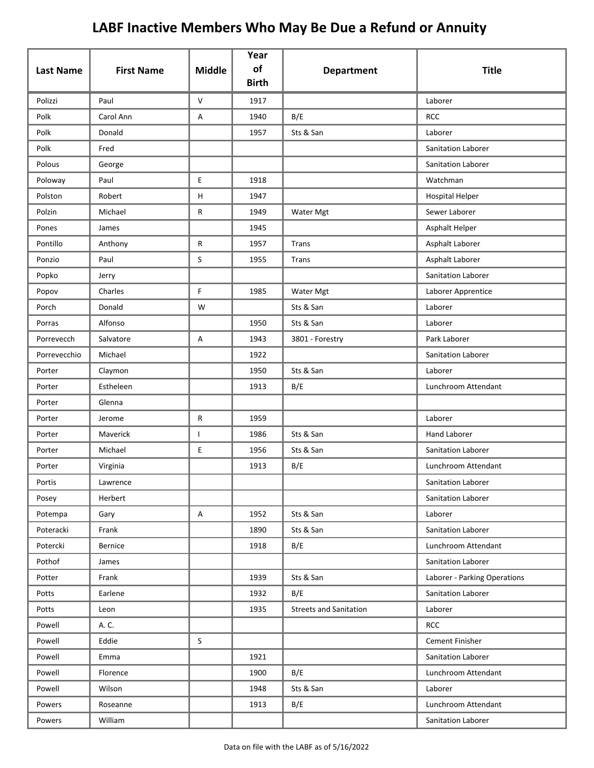| <b>Last Name</b> | <b>First Name</b> | <b>Middle</b>             | Year<br>of<br><b>Birth</b> | <b>Department</b>             | <b>Title</b>                 |
|------------------|-------------------|---------------------------|----------------------------|-------------------------------|------------------------------|
| Polizzi          | Paul              | $\mathsf{V}$              | 1917                       |                               | Laborer                      |
| Polk             | Carol Ann         | Α                         | 1940                       | B/E                           | <b>RCC</b>                   |
| Polk             | Donald            |                           | 1957                       | Sts & San                     | Laborer                      |
| Polk             | Fred              |                           |                            |                               | Sanitation Laborer           |
| Polous           | George            |                           |                            |                               | Sanitation Laborer           |
| Poloway          | Paul              | E                         | 1918                       |                               | Watchman                     |
| Polston          | Robert            | $\boldsymbol{\mathsf{H}}$ | 1947                       |                               | <b>Hospital Helper</b>       |
| Polzin           | Michael           | R                         | 1949                       | Water Mgt                     | Sewer Laborer                |
| Pones            | James             |                           | 1945                       |                               | Asphalt Helper               |
| Pontillo         | Anthony           | $\mathsf{R}$              | 1957                       | Trans                         | Asphalt Laborer              |
| Ponzio           | Paul              | S                         | 1955                       | Trans                         | Asphalt Laborer              |
| Popko            | Jerry             |                           |                            |                               | Sanitation Laborer           |
| Popov            | Charles           | F                         | 1985                       | Water Mgt                     | Laborer Apprentice           |
| Porch            | Donald            | W                         |                            | Sts & San                     | Laborer                      |
| Porras           | Alfonso           |                           | 1950                       | Sts & San                     | Laborer                      |
| Porrevecch       | Salvatore         | A                         | 1943                       | 3801 - Forestry               | Park Laborer                 |
| Porrevecchio     | Michael           |                           | 1922                       |                               | Sanitation Laborer           |
| Porter           | Claymon           |                           | 1950                       | Sts & San                     | Laborer                      |
| Porter           | Estheleen         |                           | 1913                       | B/E                           | Lunchroom Attendant          |
| Porter           | Glenna            |                           |                            |                               |                              |
| Porter           | Jerome            | ${\sf R}$                 | 1959                       |                               | Laborer                      |
| Porter           | Maverick          | $\mathbf{L}$              | 1986                       | Sts & San                     | <b>Hand Laborer</b>          |
| Porter           | Michael           | E                         | 1956                       | Sts & San                     | Sanitation Laborer           |
| Porter           | Virginia          |                           | 1913                       | B/E                           | Lunchroom Attendant          |
| Portis           | Lawrence          |                           |                            |                               | Sanitation Laborer           |
| Posey            | Herbert           |                           |                            |                               | Sanitation Laborer           |
| Potempa          | Gary              | A                         | 1952                       | Sts & San                     | Laborer                      |
| Poteracki        | Frank             |                           | 1890                       | Sts & San                     | Sanitation Laborer           |
| Potercki         | <b>Bernice</b>    |                           | 1918                       | B/E                           | Lunchroom Attendant          |
| Pothof           | James             |                           |                            |                               | Sanitation Laborer           |
| Potter           | Frank             |                           | 1939                       | Sts & San                     | Laborer - Parking Operations |
| Potts            | Earlene           |                           | 1932                       | B/E                           | Sanitation Laborer           |
| Potts            | Leon              |                           | 1935                       | <b>Streets and Sanitation</b> | Laborer                      |
| Powell           | A. C.             |                           |                            |                               | <b>RCC</b>                   |
| Powell           | Eddie             | S                         |                            |                               | Cement Finisher              |
| Powell           | Emma              |                           | 1921                       |                               | Sanitation Laborer           |
| Powell           | Florence          |                           | 1900                       | B/E                           | Lunchroom Attendant          |
| Powell           | Wilson            |                           | 1948                       | Sts & San                     | Laborer                      |
| Powers           | Roseanne          |                           | 1913                       | B/E                           | Lunchroom Attendant          |
| Powers           | William           |                           |                            |                               | Sanitation Laborer           |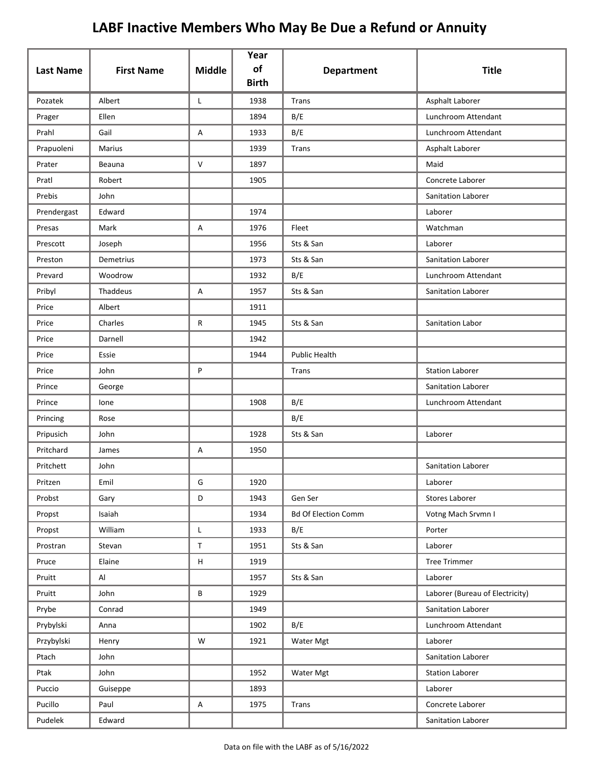| <b>Last Name</b> | <b>First Name</b> | <b>Middle</b> | Year<br>of<br><b>Birth</b> | <b>Department</b>          | <b>Title</b>                    |
|------------------|-------------------|---------------|----------------------------|----------------------------|---------------------------------|
| Pozatek          | Albert            | Г             | 1938                       | Trans                      | Asphalt Laborer                 |
| Prager           | Ellen             |               | 1894                       | B/E                        | Lunchroom Attendant             |
| Prahl            | Gail              | A             | 1933                       | B/E                        | Lunchroom Attendant             |
| Prapuoleni       | Marius            |               | 1939                       | Trans                      | Asphalt Laborer                 |
| Prater           | Beauna            | $\vee$        | 1897                       |                            | Maid                            |
| Pratl            | Robert            |               | 1905                       |                            | Concrete Laborer                |
| Prebis           | John              |               |                            |                            | Sanitation Laborer              |
| Prendergast      | Edward            |               | 1974                       |                            | Laborer                         |
| Presas           | Mark              | Α             | 1976                       | Fleet                      | Watchman                        |
| Prescott         | Joseph            |               | 1956                       | Sts & San                  | Laborer                         |
| Preston          | <b>Demetrius</b>  |               | 1973                       | Sts & San                  | Sanitation Laborer              |
| Prevard          | Woodrow           |               | 1932                       | B/E                        | Lunchroom Attendant             |
| Pribyl           | Thaddeus          | Α             | 1957                       | Sts & San                  | Sanitation Laborer              |
| Price            | Albert            |               | 1911                       |                            |                                 |
| Price            | Charles           | R             | 1945                       | Sts & San                  | Sanitation Labor                |
| Price            | Darnell           |               | 1942                       |                            |                                 |
| Price            | Essie             |               | 1944                       | <b>Public Health</b>       |                                 |
| Price            | John              | P             |                            | Trans                      | <b>Station Laborer</b>          |
| Prince           | George            |               |                            |                            | Sanitation Laborer              |
| Prince           | lone              |               | 1908                       | B/E                        | Lunchroom Attendant             |
| Princing         | Rose              |               |                            | B/E                        |                                 |
| Pripusich        | John              |               | 1928                       | Sts & San                  | Laborer                         |
| Pritchard        | James             | Α             | 1950                       |                            |                                 |
| Pritchett        | John              |               |                            |                            | Sanitation Laborer              |
| Pritzen          | Emil              | G             | 1920                       |                            | Laborer                         |
| Probst           | Gary              | D             | 1943                       | Gen Ser                    | Stores Laborer                  |
| Propst           | Isaiah            |               | 1934                       | <b>Bd Of Election Comm</b> | Votng Mach Srvmn I              |
| Propst           | William           | $\mathsf{L}$  | 1933                       | B/E                        | Porter                          |
| Prostran         | Stevan            | $\mathsf T$   | 1951                       | Sts & San                  | Laborer                         |
| Pruce            | Elaine            | $\sf H$       | 1919                       |                            | <b>Tree Trimmer</b>             |
| Pruitt           | Al                |               | 1957                       | Sts & San                  | Laborer                         |
| Pruitt           | John              | B             | 1929                       |                            | Laborer (Bureau of Electricity) |
| Prybe            | Conrad            |               | 1949                       |                            | Sanitation Laborer              |
| Prybylski        | Anna              |               | 1902                       | B/E                        | Lunchroom Attendant             |
| Przybylski       | Henry             | W             | 1921                       | Water Mgt                  | Laborer                         |
| Ptach            | John              |               |                            |                            | Sanitation Laborer              |
| Ptak             | John              |               | 1952                       | Water Mgt                  | <b>Station Laborer</b>          |
| Puccio           | Guiseppe          |               | 1893                       |                            | Laborer                         |
| Pucillo          | Paul              | $\mathsf A$   | 1975                       | Trans                      | Concrete Laborer                |
| Pudelek          | Edward            |               |                            |                            | Sanitation Laborer              |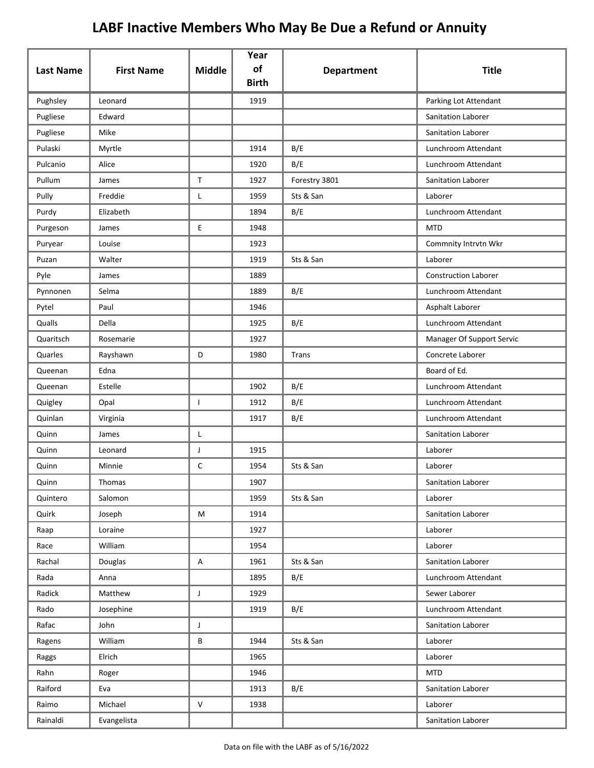|                  |                   |               | Year<br>of   |                   |                             |
|------------------|-------------------|---------------|--------------|-------------------|-----------------------------|
| <b>Last Name</b> | <b>First Name</b> | <b>Middle</b> | <b>Birth</b> | <b>Department</b> | <b>Title</b>                |
| Pughsley         | Leonard           |               | 1919         |                   | Parking Lot Attendant       |
| Pugliese         | Edward            |               |              |                   | <b>Sanitation Laborer</b>   |
| Pugliese         | Mike              |               |              |                   | Sanitation Laborer          |
| Pulaski          | Myrtle            |               | 1914         | B/E               | Lunchroom Attendant         |
| Pulcanio         | Alice             |               | 1920         | B/E               | Lunchroom Attendant         |
| Pullum           | James             | $\mathsf{T}$  | 1927         | Forestry 3801     | Sanitation Laborer          |
| Pully            | Freddie           | L             | 1959         | Sts & San         | Laborer                     |
| Purdy            | Elizabeth         |               | 1894         | B/E               | Lunchroom Attendant         |
| Purgeson         | James             | E             | 1948         |                   | <b>MTD</b>                  |
| Puryear          | Louise            |               | 1923         |                   | Commnity Intrvtn Wkr        |
| Puzan            | Walter            |               | 1919         | Sts & San         | Laborer                     |
| Pyle             | James             |               | 1889         |                   | <b>Construction Laborer</b> |
| Pynnonen         | Selma             |               | 1889         | B/E               | Lunchroom Attendant         |
| Pytel            | Paul              |               | 1946         |                   | Asphalt Laborer             |
| Qualls           | Della             |               | 1925         | B/E               | Lunchroom Attendant         |
| Quaritsch        | Rosemarie         |               | 1927         |                   | Manager Of Support Servic   |
| Quarles          | Rayshawn          | D             | 1980         | Trans             | Concrete Laborer            |
| Queenan          | Edna              |               |              |                   | Board of Ed.                |
| Queenan          | Estelle           |               | 1902         | B/E               | Lunchroom Attendant         |
| Quigley          | Opal              | T             | 1912         | B/E               | Lunchroom Attendant         |
| Quinlan          | Virginia          |               | 1917         | B/E               | Lunchroom Attendant         |
| Quinn            | James             | Г             |              |                   | Sanitation Laborer          |
| Quinn            | Leonard           | J             | 1915         |                   | Laborer                     |
| Quinn            | Minnie            | $\mathsf C$   | 1954         | Sts & San         | Laborer                     |
| Quinn            | Thomas            |               | 1907         |                   | Sanitation Laborer          |
| Quintero         | Salomon           |               | 1959         | Sts & San         | Laborer                     |
| Quirk            | Joseph            | M             | 1914         |                   | Sanitation Laborer          |
| Raap             | Loraine           |               | 1927         |                   | Laborer                     |
| Race             | William           |               | 1954         |                   | Laborer                     |
| Rachal           | Douglas           | Α             | 1961         | Sts & San         | Sanitation Laborer          |
| Rada             | Anna              |               | 1895         | B/E               | Lunchroom Attendant         |
| Radick           | Matthew           | $\mathsf{J}$  | 1929         |                   | Sewer Laborer               |
| Rado             | Josephine         |               | 1919         | B/E               | Lunchroom Attendant         |
| Rafac            | John              | J             |              |                   | Sanitation Laborer          |
| Ragens           | William           | B             | 1944         | Sts & San         | Laborer                     |
| Raggs            | Elrich            |               | 1965         |                   | Laborer                     |
| Rahn             | Roger             |               | 1946         |                   | <b>MTD</b>                  |
| Raiford          | Eva               |               | 1913         | B/E               | Sanitation Laborer          |
| Raimo            | Michael           | ${\sf V}$     | 1938         |                   | Laborer                     |
| Rainaldi         | Evangelista       |               |              |                   | Sanitation Laborer          |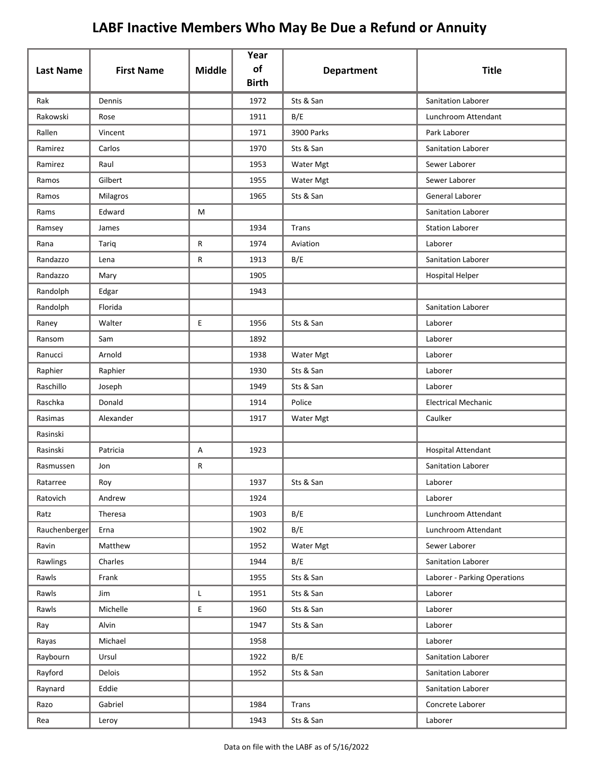| <b>Last Name</b> | <b>First Name</b> | <b>Middle</b> | Year<br>of   | <b>Department</b> | <b>Title</b>                 |
|------------------|-------------------|---------------|--------------|-------------------|------------------------------|
|                  |                   |               | <b>Birth</b> |                   |                              |
| Rak              | Dennis            |               | 1972         | Sts & San         | <b>Sanitation Laborer</b>    |
| Rakowski         | Rose              |               | 1911         | B/E               | Lunchroom Attendant          |
| Rallen           | Vincent           |               | 1971         | <b>3900 Parks</b> | Park Laborer                 |
| Ramirez          | Carlos            |               | 1970         | Sts & San         | Sanitation Laborer           |
| Ramirez          | Raul              |               | 1953         | Water Mgt         | Sewer Laborer                |
| Ramos            | Gilbert           |               | 1955         | Water Mgt         | Sewer Laborer                |
| Ramos            | Milagros          |               | 1965         | Sts & San         | General Laborer              |
| Rams             | Edward            | М             |              |                   | <b>Sanitation Laborer</b>    |
| Ramsey           | James             |               | 1934         | Trans             | <b>Station Laborer</b>       |
| Rana             | Tariq             | R             | 1974         | Aviation          | Laborer                      |
| Randazzo         | Lena              | R             | 1913         | B/E               | <b>Sanitation Laborer</b>    |
| Randazzo         | Mary              |               | 1905         |                   | <b>Hospital Helper</b>       |
| Randolph         | Edgar             |               | 1943         |                   |                              |
| Randolph         | Florida           |               |              |                   | Sanitation Laborer           |
| Raney            | Walter            | E             | 1956         | Sts & San         | Laborer                      |
| Ransom           | Sam               |               | 1892         |                   | Laborer                      |
| Ranucci          | Arnold            |               | 1938         | Water Mgt         | Laborer                      |
| Raphier          | Raphier           |               | 1930         | Sts & San         | Laborer                      |
| Raschillo        | Joseph            |               | 1949         | Sts & San         | Laborer                      |
| Raschka          | Donald            |               | 1914         | Police            | <b>Electrical Mechanic</b>   |
| Rasimas          | Alexander         |               | 1917         | Water Mgt         | Caulker                      |
| Rasinski         |                   |               |              |                   |                              |
| Rasinski         | Patricia          | Α             | 1923         |                   | <b>Hospital Attendant</b>    |
| Rasmussen        | Jon               | R             |              |                   | Sanitation Laborer           |
| Ratarree         | Roy               |               | 1937         | Sts & San         | Laborer                      |
| Ratovich         | Andrew            |               | 1924         |                   | Laborer                      |
| Ratz             | Theresa           |               | 1903         | B/E               | Lunchroom Attendant          |
| Rauchenberger    | Erna              |               | 1902         | B/E               | Lunchroom Attendant          |
| Ravin            | Matthew           |               | 1952         | Water Mgt         | Sewer Laborer                |
| Rawlings         | Charles           |               | 1944         | B/E               | Sanitation Laborer           |
| Rawls            | Frank             |               | 1955         | Sts & San         | Laborer - Parking Operations |
| Rawls            | Jim               | L             | 1951         | Sts & San         | Laborer                      |
| Rawls            | Michelle          | E             | 1960         | Sts & San         | Laborer                      |
| Ray              | Alvin             |               | 1947         | Sts & San         | Laborer                      |
| Rayas            | Michael           |               | 1958         |                   | Laborer                      |
| Raybourn         | Ursul             |               | 1922         | B/E               | Sanitation Laborer           |
| Rayford          | Delois            |               | 1952         | Sts & San         | Sanitation Laborer           |
| Raynard          | Eddie             |               |              |                   | Sanitation Laborer           |
| Razo             | Gabriel           |               | 1984         | Trans             | Concrete Laborer             |
| Rea              | Leroy             |               | 1943         | Sts & San         | Laborer                      |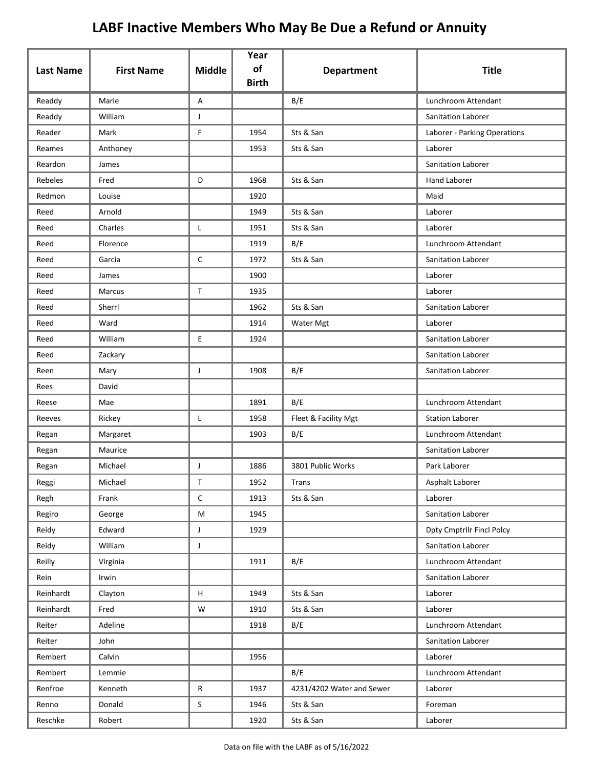| <b>Last Name</b> | <b>First Name</b> | <b>Middle</b>                                                                                              | Year<br>of   | <b>Department</b>         | <b>Title</b>                     |
|------------------|-------------------|------------------------------------------------------------------------------------------------------------|--------------|---------------------------|----------------------------------|
|                  |                   |                                                                                                            | <b>Birth</b> |                           |                                  |
| Readdy           | Marie             | Α                                                                                                          |              | B/E                       | Lunchroom Attendant              |
| Readdy           | William           | J                                                                                                          |              |                           | Sanitation Laborer               |
| Reader           | Mark              | F                                                                                                          | 1954         | Sts & San                 | Laborer - Parking Operations     |
| Reames           | Anthoney          |                                                                                                            | 1953         | Sts & San                 | Laborer                          |
| Reardon          | James             |                                                                                                            |              |                           | Sanitation Laborer               |
| <b>Rebeles</b>   | Fred              | D                                                                                                          | 1968         | Sts & San                 | <b>Hand Laborer</b>              |
| Redmon           | Louise            |                                                                                                            | 1920         |                           | Maid                             |
| Reed             | Arnold            |                                                                                                            | 1949         | Sts & San                 | Laborer                          |
| Reed             | Charles           | L                                                                                                          | 1951         | Sts & San                 | Laborer                          |
| Reed             | Florence          |                                                                                                            | 1919         | B/E                       | Lunchroom Attendant              |
| Reed             | Garcia            | $\mathsf C$                                                                                                | 1972         | Sts & San                 | Sanitation Laborer               |
| Reed             | James             |                                                                                                            | 1900         |                           | Laborer                          |
| Reed             | Marcus            | $\mathsf T$                                                                                                | 1935         |                           | Laborer                          |
| Reed             | Sherrl            |                                                                                                            | 1962         | Sts & San                 | Sanitation Laborer               |
| Reed             | Ward              |                                                                                                            | 1914         | Water Mgt                 | Laborer                          |
| Reed             | William           | E.                                                                                                         | 1924         |                           | Sanitation Laborer               |
| Reed             | Zackary           |                                                                                                            |              |                           | Sanitation Laborer               |
| Reen             | Mary              | J                                                                                                          | 1908         | B/E                       | Sanitation Laborer               |
| Rees             | David             |                                                                                                            |              |                           |                                  |
| Reese            | Mae               |                                                                                                            | 1891         | B/E                       | Lunchroom Attendant              |
| Reeves           | Rickey            | L                                                                                                          | 1958         | Fleet & Facility Mgt      | <b>Station Laborer</b>           |
| Regan            | Margaret          |                                                                                                            | 1903         | B/E                       | Lunchroom Attendant              |
| Regan            | Maurice           |                                                                                                            |              |                           | <b>Sanitation Laborer</b>        |
| Regan            | Michael           | J                                                                                                          | 1886         | 3801 Public Works         | Park Laborer                     |
| Reggi            | Michael           | Τ                                                                                                          | 1952         | Trans                     | Asphalt Laborer                  |
| Regh             | Frank             | $\mathsf C$                                                                                                | 1913         | Sts & San                 | Laborer                          |
| Regiro           | George            | $\mathsf{M}% _{T}=\mathsf{M}_{T}\!\left( a,b\right) ,\ \mathsf{M}_{T}=\mathsf{M}_{T}\!\left( a,b\right) ,$ | 1945         |                           | Sanitation Laborer               |
| Reidy            | Edward            | $\mathsf J$                                                                                                | 1929         |                           | <b>Dpty Cmptrilr Fincl Polcy</b> |
| Reidy            | William           | $\mathsf J$                                                                                                |              |                           | Sanitation Laborer               |
| Reilly           | Virginia          |                                                                                                            | 1911         | B/E                       | Lunchroom Attendant              |
| Rein             | Irwin             |                                                                                                            |              |                           | Sanitation Laborer               |
| Reinhardt        | Clayton           | H                                                                                                          | 1949         | Sts & San                 | Laborer                          |
| Reinhardt        | Fred              | W                                                                                                          | 1910         | Sts & San                 | Laborer                          |
| Reiter           | Adeline           |                                                                                                            | 1918         | B/E                       | Lunchroom Attendant              |
| Reiter           | John              |                                                                                                            |              |                           | Sanitation Laborer               |
| Rembert          | Calvin            |                                                                                                            | 1956         |                           | Laborer                          |
| Rembert          | Lemmie            |                                                                                                            |              | B/E                       | Lunchroom Attendant              |
| Renfroe          | Kenneth           | ${\sf R}$                                                                                                  | 1937         | 4231/4202 Water and Sewer | Laborer                          |
| Renno            | Donald            | $\mathsf S$                                                                                                | 1946         | Sts & San                 | Foreman                          |
| Reschke          | Robert            |                                                                                                            | 1920         | Sts & San                 | Laborer                          |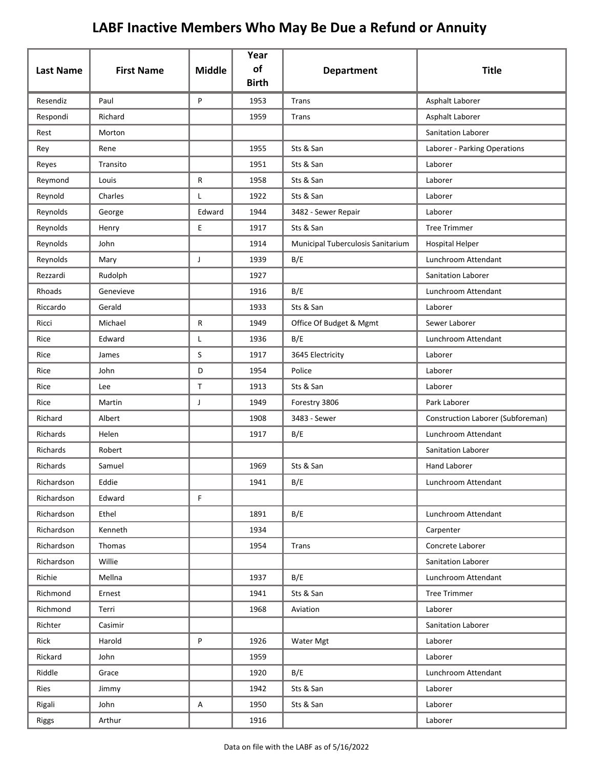| <b>Last Name</b> | <b>First Name</b> | <b>Middle</b> | Year<br>of   | <b>Department</b>                 | <b>Title</b>                      |
|------------------|-------------------|---------------|--------------|-----------------------------------|-----------------------------------|
|                  |                   |               | <b>Birth</b> |                                   |                                   |
| Resendiz         | Paul              | P             | 1953         | <b>Trans</b>                      | Asphalt Laborer                   |
| Respondi         | Richard           |               | 1959         | Trans                             | Asphalt Laborer                   |
| Rest             | Morton            |               |              |                                   | Sanitation Laborer                |
| Rey              | Rene              |               | 1955         | Sts & San                         | Laborer - Parking Operations      |
| Reyes            | Transito          |               | 1951         | Sts & San                         | Laborer                           |
| Reymond          | Louis             | R             | 1958         | Sts & San                         | Laborer                           |
| Reynold          | Charles           | L             | 1922         | Sts & San                         | Laborer                           |
| Reynolds         | George            | Edward        | 1944         | 3482 - Sewer Repair               | Laborer                           |
| Reynolds         | Henry             | E             | 1917         | Sts & San                         | <b>Tree Trimmer</b>               |
| Reynolds         | John              |               | 1914         | Municipal Tuberculosis Sanitarium | <b>Hospital Helper</b>            |
| Reynolds         | Mary              | J             | 1939         | B/E                               | Lunchroom Attendant               |
| Rezzardi         | Rudolph           |               | 1927         |                                   | Sanitation Laborer                |
| Rhoads           | Genevieve         |               | 1916         | B/E                               | Lunchroom Attendant               |
| Riccardo         | Gerald            |               | 1933         | Sts & San                         | Laborer                           |
| Ricci            | Michael           | R             | 1949         | Office Of Budget & Mgmt           | Sewer Laborer                     |
| Rice             | Edward            | Г             | 1936         | B/E                               | Lunchroom Attendant               |
| Rice             | James             | S             | 1917         | 3645 Electricity                  | Laborer                           |
| Rice             | John              | D             | 1954         | Police                            | Laborer                           |
| Rice             | Lee               | $\mathsf{T}$  | 1913         | Sts & San                         | Laborer                           |
| Rice             | Martin            | J             | 1949         | Forestry 3806                     | Park Laborer                      |
| Richard          | Albert            |               | 1908         | 3483 - Sewer                      | Construction Laborer (Subforeman) |
| Richards         | Helen             |               | 1917         | B/E                               | Lunchroom Attendant               |
| Richards         | Robert            |               |              |                                   | Sanitation Laborer                |
| Richards         | Samuel            |               | 1969         | Sts & San                         | <b>Hand Laborer</b>               |
| Richardson       | Eddie             |               | 1941         | B/E                               | Lunchroom Attendant               |
| Richardson       | Edward            | F.            |              |                                   |                                   |
| Richardson       | Ethel             |               | 1891         | B/E                               | Lunchroom Attendant               |
| Richardson       | Kenneth           |               | 1934         |                                   | Carpenter                         |
| Richardson       | Thomas            |               | 1954         | Trans                             | Concrete Laborer                  |
| Richardson       | Willie            |               |              |                                   | Sanitation Laborer                |
| Richie           | Mellna            |               | 1937         | B/E                               | Lunchroom Attendant               |
| Richmond         | Ernest            |               | 1941         | Sts & San                         | <b>Tree Trimmer</b>               |
| Richmond         | Terri             |               | 1968         | Aviation                          | Laborer                           |
| Richter          | Casimir           |               |              |                                   | Sanitation Laborer                |
| Rick             | Harold            | P             | 1926         | Water Mgt                         | Laborer                           |
| Rickard          | John              |               | 1959         |                                   | Laborer                           |
| Riddle           | Grace             |               | 1920         | B/E                               | Lunchroom Attendant               |
| Ries             | Jimmy             |               | 1942         | Sts & San                         | Laborer                           |
| Rigali           | John              | A             | 1950         | Sts & San                         | Laborer                           |
| <b>Riggs</b>     | Arthur            |               | 1916         |                                   | Laborer                           |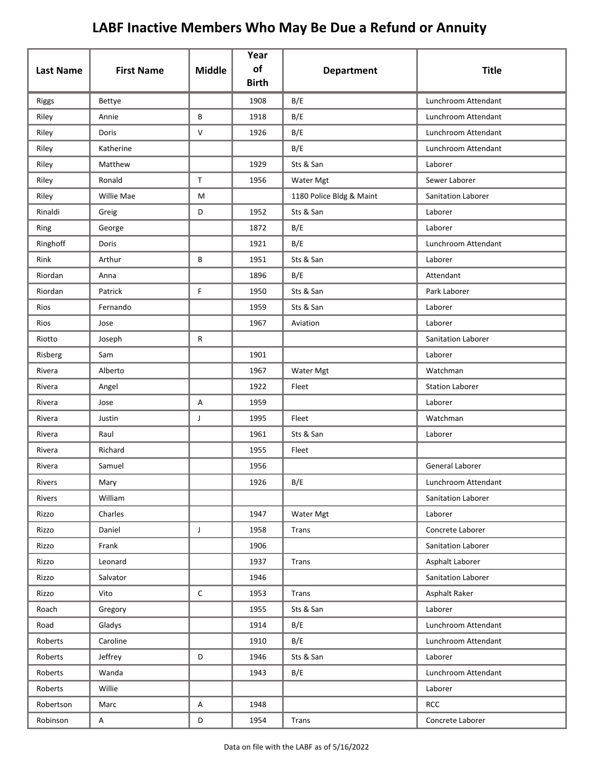| <b>Last Name</b> | <b>First Name</b> | <b>Middle</b> | Year<br>of   | <b>Department</b>        | <b>Title</b>           |
|------------------|-------------------|---------------|--------------|--------------------------|------------------------|
|                  |                   |               | <b>Birth</b> |                          |                        |
| <b>Riggs</b>     | <b>Bettye</b>     |               | 1908         | B/E                      | Lunchroom Attendant    |
| Riley            | Annie             | B             | 1918         | B/E                      | Lunchroom Attendant    |
| Riley            | Doris             | V             | 1926         | B/E                      | Lunchroom Attendant    |
| Riley            | Katherine         |               |              | B/E                      | Lunchroom Attendant    |
| Riley            | Matthew           |               | 1929         | Sts & San                | Laborer                |
| Riley            | Ronald            | $\mathsf{T}$  | 1956         | Water Mgt                | Sewer Laborer          |
| Riley            | Willie Mae        | M             |              | 1180 Police Bldg & Maint | Sanitation Laborer     |
| Rinaldi          | Greig             | D             | 1952         | Sts & San                | Laborer                |
| Ring             | George            |               | 1872         | B/E                      | Laborer                |
| Ringhoff         | Doris             |               | 1921         | B/E                      | Lunchroom Attendant    |
| Rink             | Arthur            | B             | 1951         | Sts & San                | Laborer                |
| Riordan          | Anna              |               | 1896         | B/E                      | Attendant              |
| Riordan          | Patrick           | F             | 1950         | Sts & San                | Park Laborer           |
| Rios             | Fernando          |               | 1959         | Sts & San                | Laborer                |
| Rios             | Jose              |               | 1967         | Aviation                 | Laborer                |
| Riotto           | Joseph            | R             |              |                          | Sanitation Laborer     |
| Risberg          | Sam               |               | 1901         |                          | Laborer                |
| Rivera           | Alberto           |               | 1967         | Water Mgt                | Watchman               |
| Rivera           | Angel             |               | 1922         | Fleet                    | <b>Station Laborer</b> |
| Rivera           | Jose              | Α             | 1959         |                          | Laborer                |
| Rivera           | Justin            | J             | 1995         | Fleet                    | Watchman               |
| Rivera           | Raul              |               | 1961         | Sts & San                | Laborer                |
| Rivera           | Richard           |               | 1955         | Fleet                    |                        |
| Rivera           | Samuel            |               | 1956         |                          | <b>General Laborer</b> |
| Rivers           | Mary              |               | 1926         | B/E                      | Lunchroom Attendant    |
| Rivers           | William           |               |              |                          | Sanitation Laborer     |
| Rizzo            | Charles           |               | 1947         | Water Mgt                | Laborer                |
| Rizzo            | Daniel            | $\mathsf{J}$  | 1958         | Trans                    | Concrete Laborer       |
| Rizzo            | Frank             |               | 1906         |                          | Sanitation Laborer     |
| Rizzo            | Leonard           |               | 1937         | Trans                    | Asphalt Laborer        |
| Rizzo            | Salvator          |               | 1946         |                          | Sanitation Laborer     |
| Rizzo            | Vito              | C             | 1953         | Trans                    | Asphalt Raker          |
| Roach            | Gregory           |               | 1955         | Sts & San                | Laborer                |
| Road             | Gladys            |               | 1914         | B/E                      | Lunchroom Attendant    |
| Roberts          | Caroline          |               | 1910         | B/E                      | Lunchroom Attendant    |
| Roberts          | Jeffrey           | D             | 1946         | Sts & San                | Laborer                |
| Roberts          | Wanda             |               | 1943         | B/E                      | Lunchroom Attendant    |
| Roberts          | Willie            |               |              |                          | Laborer                |
| Robertson        | Marc              | Α             | 1948         |                          | <b>RCC</b>             |
| Robinson         | A                 | D             | 1954         | Trans                    | Concrete Laborer       |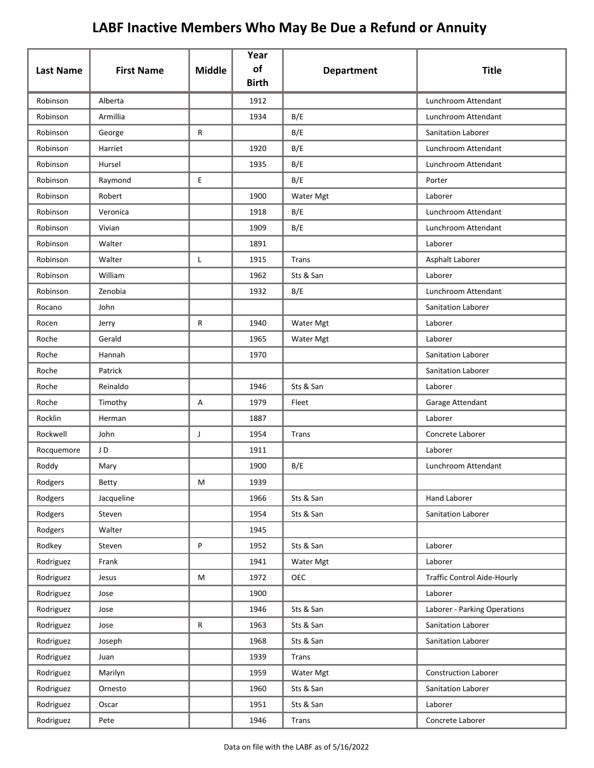| <b>Last Name</b> | <b>First Name</b> | <b>Middle</b> | Year<br>of   | <b>Department</b> | <b>Title</b>                       |
|------------------|-------------------|---------------|--------------|-------------------|------------------------------------|
|                  |                   |               | <b>Birth</b> |                   |                                    |
| Robinson         | Alberta           |               | 1912         |                   | Lunchroom Attendant                |
| Robinson         | Armillia          |               | 1934         | B/E               | Lunchroom Attendant                |
| Robinson         | George            | R             |              | B/E               | <b>Sanitation Laborer</b>          |
| Robinson         | Harriet           |               | 1920         | B/E               | Lunchroom Attendant                |
| Robinson         | Hursel            |               | 1935         | B/E               | Lunchroom Attendant                |
| Robinson         | Raymond           | E             |              | B/E               | Porter                             |
| Robinson         | Robert            |               | 1900         | Water Mgt         | Laborer                            |
| Robinson         | Veronica          |               | 1918         | B/E               | Lunchroom Attendant                |
| Robinson         | Vivian            |               | 1909         | B/E               | Lunchroom Attendant                |
| Robinson         | Walter            |               | 1891         |                   | Laborer                            |
| Robinson         | Walter            | Г             | 1915         | Trans             | Asphalt Laborer                    |
| Robinson         | William           |               | 1962         | Sts & San         | Laborer                            |
| Robinson         | Zenobia           |               | 1932         | B/E               | Lunchroom Attendant                |
| Rocano           | John              |               |              |                   | <b>Sanitation Laborer</b>          |
| Rocen            | Jerry             | R             | 1940         | Water Mgt         | Laborer                            |
| Roche            | Gerald            |               | 1965         | Water Mgt         | Laborer                            |
| Roche            | Hannah            |               | 1970         |                   | Sanitation Laborer                 |
| Roche            | Patrick           |               |              |                   | Sanitation Laborer                 |
| Roche            | Reinaldo          |               | 1946         | Sts & San         | Laborer                            |
| Roche            | Timothy           | А             | 1979         | Fleet             | Garage Attendant                   |
| Rocklin          | Herman            |               | 1887         |                   | Laborer                            |
| Rockwell         | John              | J             | 1954         | Trans             | Concrete Laborer                   |
| Rocquemore       | JD                |               | 1911         |                   | Laborer                            |
| Roddy            | Mary              |               | 1900         | B/E               | Lunchroom Attendant                |
| Rodgers          | Betty             | M             | 1939         |                   |                                    |
| Rodgers          | Jacqueline        |               | 1966         | Sts & San         | Hand Laborer                       |
| Rodgers          | Steven            |               | 1954         | Sts & San         | Sanitation Laborer                 |
| Rodgers          | Walter            |               | 1945         |                   |                                    |
| Rodkey           | Steven            | P             | 1952         | Sts & San         | Laborer                            |
| Rodriguez        | Frank             |               | 1941         | Water Mgt         | Laborer                            |
| Rodriguez        | Jesus             | M             | 1972         | <b>OEC</b>        | <b>Traffic Control Aide-Hourly</b> |
| Rodriguez        | Jose              |               | 1900         |                   | Laborer                            |
| Rodriguez        | Jose              |               | 1946         | Sts & San         | Laborer - Parking Operations       |
| Rodriguez        | Jose              | ${\sf R}$     | 1963         | Sts & San         | Sanitation Laborer                 |
| Rodriguez        | Joseph            |               | 1968         | Sts & San         | Sanitation Laborer                 |
| Rodriguez        | Juan              |               | 1939         | Trans             |                                    |
| Rodriguez        | Marilyn           |               | 1959         | Water Mgt         | <b>Construction Laborer</b>        |
| Rodriguez        | Ornesto           |               | 1960         | Sts & San         | Sanitation Laborer                 |
| Rodriguez        | Oscar             |               | 1951         | Sts & San         | Laborer                            |
| Rodriguez        | Pete              |               | 1946         | Trans             | Concrete Laborer                   |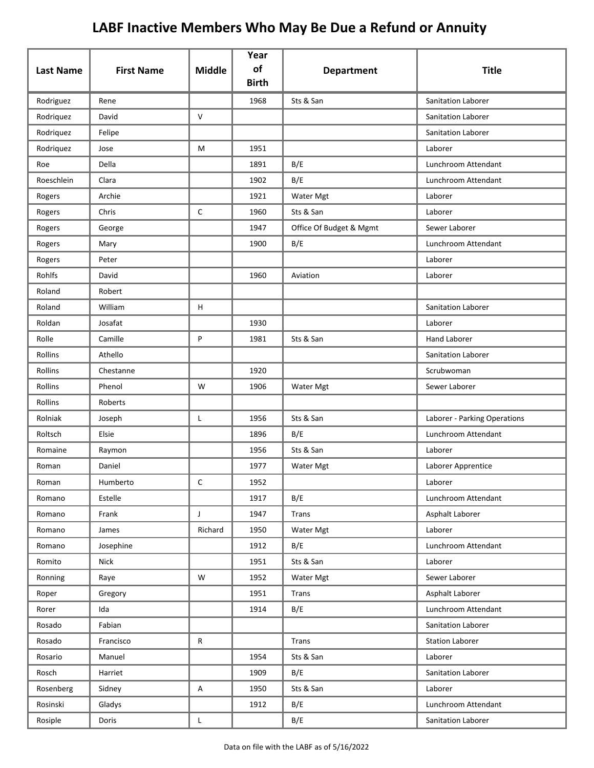| <b>Last Name</b> | <b>First Name</b> | <b>Middle</b> | Year<br>of<br><b>Birth</b> | <b>Department</b>       | <b>Title</b>                 |
|------------------|-------------------|---------------|----------------------------|-------------------------|------------------------------|
| Rodriguez        | Rene              |               | 1968                       | Sts & San               | <b>Sanitation Laborer</b>    |
| Rodriquez        | David             | $\vee$        |                            |                         | <b>Sanitation Laborer</b>    |
| Rodriquez        | Felipe            |               |                            |                         | Sanitation Laborer           |
| Rodriquez        | Jose              | M             | 1951                       |                         | Laborer                      |
| Roe              | Della             |               | 1891                       | B/E                     | Lunchroom Attendant          |
| Roeschlein       | Clara             |               | 1902                       | B/E                     | Lunchroom Attendant          |
| Rogers           | Archie            |               | 1921                       | Water Mgt               | Laborer                      |
| Rogers           | Chris             | C             | 1960                       | Sts & San               | Laborer                      |
| Rogers           | George            |               | 1947                       | Office Of Budget & Mgmt | Sewer Laborer                |
| Rogers           | Mary              |               | 1900                       | B/E                     | Lunchroom Attendant          |
| Rogers           | Peter             |               |                            |                         | Laborer                      |
| Rohlfs           | David             |               | 1960                       | Aviation                | Laborer                      |
| Roland           | Robert            |               |                            |                         |                              |
| Roland           | William           | H             |                            |                         | Sanitation Laborer           |
| Roldan           | Josafat           |               | 1930                       |                         | Laborer                      |
| Rolle            | Camille           | P             | 1981                       | Sts & San               | <b>Hand Laborer</b>          |
| Rollins          | Athello           |               |                            |                         | <b>Sanitation Laborer</b>    |
| Rollins          | Chestanne         |               | 1920                       |                         | Scrubwoman                   |
| Rollins          | Phenol            | W             | 1906                       | Water Mgt               | Sewer Laborer                |
| Rollins          | Roberts           |               |                            |                         |                              |
| Rolniak          | Joseph            | L             | 1956                       | Sts & San               | Laborer - Parking Operations |
| Roltsch          | Elsie             |               | 1896                       | B/E                     | Lunchroom Attendant          |
| Romaine          | Raymon            |               | 1956                       | Sts & San               | Laborer                      |
| Roman            | Daniel            |               | 1977                       | Water Mgt               | Laborer Apprentice           |
| Roman            | Humberto          | С             | 1952                       |                         | Laborer                      |
| Romano           | Estelle           |               | 1917                       | B/E                     | Lunchroom Attendant          |
| Romano           | Frank             | $\mathsf{J}$  | 1947                       | <b>Trans</b>            | Asphalt Laborer              |
| Romano           | James             | Richard       | 1950                       | Water Mgt               | Laborer                      |
| Romano           | Josephine         |               | 1912                       | B/E                     | Lunchroom Attendant          |
| Romito           | Nick              |               | 1951                       | Sts & San               | Laborer                      |
| Ronning          | Raye              | W             | 1952                       | Water Mgt               | Sewer Laborer                |
| Roper            | Gregory           |               | 1951                       | Trans                   | Asphalt Laborer              |
| Rorer            | Ida               |               | 1914                       | B/E                     | Lunchroom Attendant          |
| Rosado           | Fabian            |               |                            |                         | Sanitation Laborer           |
| Rosado           | Francisco         | R             |                            | Trans                   | <b>Station Laborer</b>       |
| Rosario          | Manuel            |               | 1954                       | Sts & San               | Laborer                      |
| Rosch            | Harriet           |               | 1909                       | B/E                     | Sanitation Laborer           |
| Rosenberg        | Sidney            | A             | 1950                       | Sts & San               | Laborer                      |
| Rosinski         | Gladys            |               | 1912                       | B/E                     | Lunchroom Attendant          |
| Rosiple          | Doris             | L             |                            | B/E                     | Sanitation Laborer           |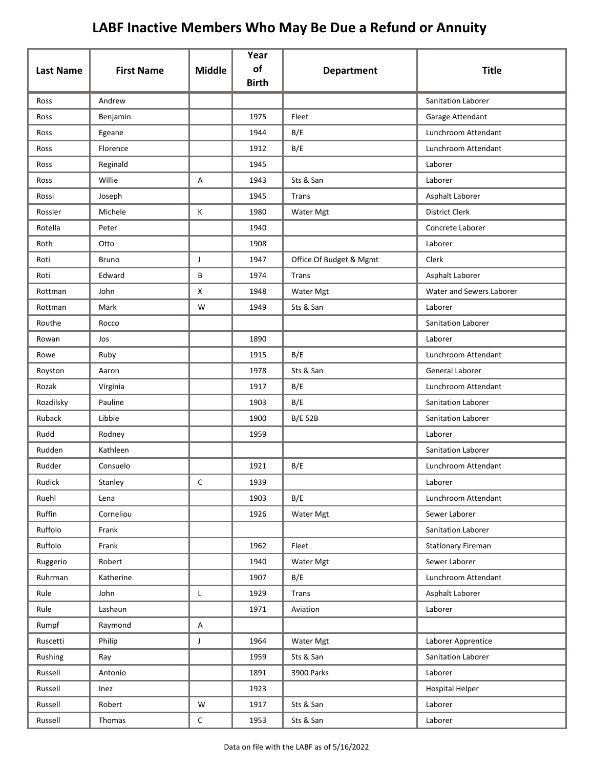| <b>Last Name</b> | <b>First Name</b> | <b>Middle</b> | Year<br>of<br><b>Birth</b> | <b>Department</b>       | <b>Title</b>              |
|------------------|-------------------|---------------|----------------------------|-------------------------|---------------------------|
| Ross             | Andrew            |               |                            |                         | <b>Sanitation Laborer</b> |
| Ross             | Benjamin          |               | 1975                       | Fleet                   | Garage Attendant          |
| Ross             | Egeane            |               | 1944                       | B/E                     | Lunchroom Attendant       |
| Ross             | Florence          |               | 1912                       | B/E                     | Lunchroom Attendant       |
| Ross             | Reginald          |               | 1945                       |                         | Laborer                   |
| Ross             | Willie            | Α             | 1943                       | Sts & San               | Laborer                   |
| Rossi            | Joseph            |               | 1945                       | Trans                   | Asphalt Laborer           |
| Rossler          | Michele           | К             | 1980                       | Water Mgt               | <b>District Clerk</b>     |
| Rotella          | Peter             |               | 1940                       |                         | Concrete Laborer          |
| Roth             | Otto              |               | 1908                       |                         | Laborer                   |
| Roti             | <b>Bruno</b>      | J             | 1947                       | Office Of Budget & Mgmt | Clerk                     |
| Roti             | Edward            | B             | 1974                       | Trans                   | Asphalt Laborer           |
| Rottman          | John              | X             | 1948                       | Water Mgt               | Water and Sewers Laborer  |
| Rottman          | Mark              | W             | 1949                       | Sts & San               | Laborer                   |
| Routhe           | Rocco             |               |                            |                         | Sanitation Laborer        |
| Rowan            | Jos               |               | 1890                       |                         | Laborer                   |
| Rowe             | Ruby              |               | 1915                       | B/E                     | Lunchroom Attendant       |
| Royston          | Aaron             |               | 1978                       | Sts & San               | General Laborer           |
| Rozak            | Virginia          |               | 1917                       | B/E                     | Lunchroom Attendant       |
| Rozdilsky        | Pauline           |               | 1903                       | B/E                     | Sanitation Laborer        |
| <b>Ruback</b>    | Libbie            |               | 1900                       | <b>B/E 52B</b>          | Sanitation Laborer        |
| Rudd             | Rodney            |               | 1959                       |                         | Laborer                   |
| Rudden           | Kathleen          |               |                            |                         | Sanitation Laborer        |
| Rudder           | Consuelo          |               | 1921                       | B/E                     | Lunchroom Attendant       |
| Rudick           | Stanley           | C             | 1939                       |                         | Laborer                   |
| Ruehl            | Lena              |               | 1903                       | B/E                     | Lunchroom Attendant       |
| Ruffin           | Corneliou         |               | 1926                       | Water Mgt               | Sewer Laborer             |
| Ruffolo          | Frank             |               |                            |                         | Sanitation Laborer        |
| Ruffolo          | Frank             |               | 1962                       | Fleet                   | <b>Stationary Fireman</b> |
| Ruggerio         | Robert            |               | 1940                       | Water Mgt               | Sewer Laborer             |
| Ruhrman          | Katherine         |               | 1907                       | B/E                     | Lunchroom Attendant       |
| Rule             | John              | $\mathsf{L}$  | 1929                       | <b>Trans</b>            | Asphalt Laborer           |
| Rule             | Lashaun           |               | 1971                       | Aviation                | Laborer                   |
| Rumpf            | Raymond           | Α             |                            |                         |                           |
| Ruscetti         | Philip            | J             | 1964                       | Water Mgt               | Laborer Apprentice        |
| Rushing          | Ray               |               | 1959                       | Sts & San               | Sanitation Laborer        |
| Russell          | Antonio           |               | 1891                       | 3900 Parks              | Laborer                   |
| Russell          | Inez              |               | 1923                       |                         | <b>Hospital Helper</b>    |
| Russell          | Robert            | W             | 1917                       | Sts & San               | Laborer                   |
| Russell          | Thomas            | $\mathsf C$   | 1953                       | Sts & San               | Laborer                   |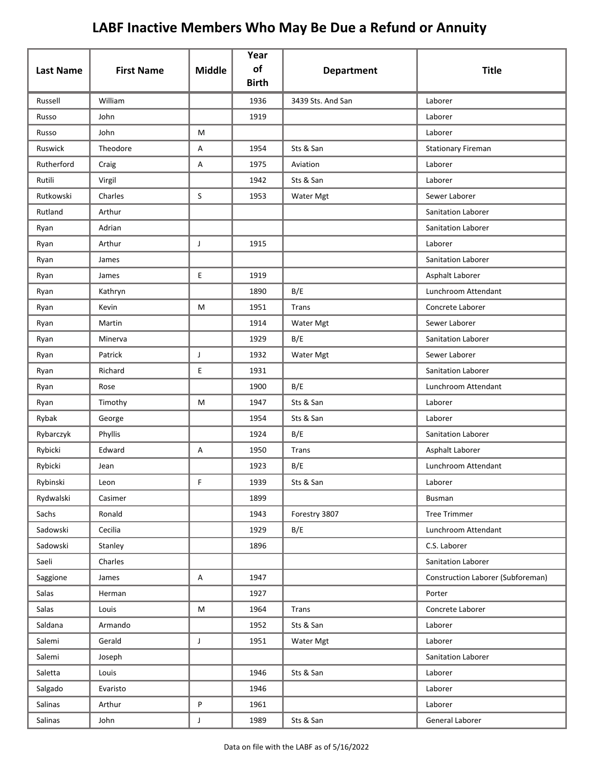|                  |                   |               | Year<br>of   |                   |                                   |
|------------------|-------------------|---------------|--------------|-------------------|-----------------------------------|
| <b>Last Name</b> | <b>First Name</b> | <b>Middle</b> | <b>Birth</b> | <b>Department</b> | <b>Title</b>                      |
| Russell          | William           |               | 1936         | 3439 Sts. And San | Laborer                           |
| Russo            | John              |               | 1919         |                   | Laborer                           |
| Russo            | John              | М             |              |                   | Laborer                           |
| Ruswick          | Theodore          | Α             | 1954         | Sts & San         | <b>Stationary Fireman</b>         |
| Rutherford       | Craig             | Α             | 1975         | Aviation          | Laborer                           |
| Rutili           | Virgil            |               | 1942         | Sts & San         | Laborer                           |
| Rutkowski        | Charles           | S             | 1953         | Water Mgt         | Sewer Laborer                     |
| Rutland          | Arthur            |               |              |                   | Sanitation Laborer                |
| Ryan             | Adrian            |               |              |                   | Sanitation Laborer                |
| Ryan             | Arthur            | J             | 1915         |                   | Laborer                           |
| Ryan             | James             |               |              |                   | Sanitation Laborer                |
| Ryan             | James             | E.            | 1919         |                   | Asphalt Laborer                   |
| Ryan             | Kathryn           |               | 1890         | B/E               | Lunchroom Attendant               |
| Ryan             | Kevin             | М             | 1951         | Trans             | Concrete Laborer                  |
| Ryan             | Martin            |               | 1914         | Water Mgt         | Sewer Laborer                     |
| Ryan             | Minerva           |               | 1929         | B/E               | Sanitation Laborer                |
| Ryan             | Patrick           | J             | 1932         | Water Mgt         | Sewer Laborer                     |
| Ryan             | Richard           | E             | 1931         |                   | Sanitation Laborer                |
| Ryan             | Rose              |               | 1900         | B/E               | Lunchroom Attendant               |
| Ryan             | Timothy           | М             | 1947         | Sts & San         | Laborer                           |
| Rybak            | George            |               | 1954         | Sts & San         | Laborer                           |
| Rybarczyk        | Phyllis           |               | 1924         | B/E               | Sanitation Laborer                |
| Rybicki          | Edward            | Α             | 1950         | Trans             | Asphalt Laborer                   |
| Rybicki          | Jean              |               | 1923         | B/E               | Lunchroom Attendant               |
| Rybinski         | Leon              | F             | 1939         | Sts & San         | Laborer                           |
| Rydwalski        | Casimer           |               | 1899         |                   | Busman                            |
| Sachs            | Ronald            |               | 1943         | Forestry 3807     | <b>Tree Trimmer</b>               |
| Sadowski         | Cecilia           |               | 1929         | B/E               | Lunchroom Attendant               |
| Sadowski         | Stanley           |               | 1896         |                   | C.S. Laborer                      |
| Saeli            | Charles           |               |              |                   | Sanitation Laborer                |
| Saggione         | James             | A             | 1947         |                   | Construction Laborer (Subforeman) |
| Salas            | Herman            |               | 1927         |                   | Porter                            |
| Salas            | Louis             | M             | 1964         | Trans             | Concrete Laborer                  |
| Saldana          | Armando           |               | 1952         | Sts & San         | Laborer                           |
| Salemi           | Gerald            | J             | 1951         | Water Mgt         | Laborer                           |
| Salemi           | Joseph            |               |              |                   | Sanitation Laborer                |
| Saletta          | Louis             |               | 1946         | Sts & San         | Laborer                           |
| Salgado          | Evaristo          |               | 1946         |                   | Laborer                           |
| Salinas          | Arthur            | P             | 1961         |                   | Laborer                           |
| Salinas          | John              | J             | 1989         | Sts & San         | General Laborer                   |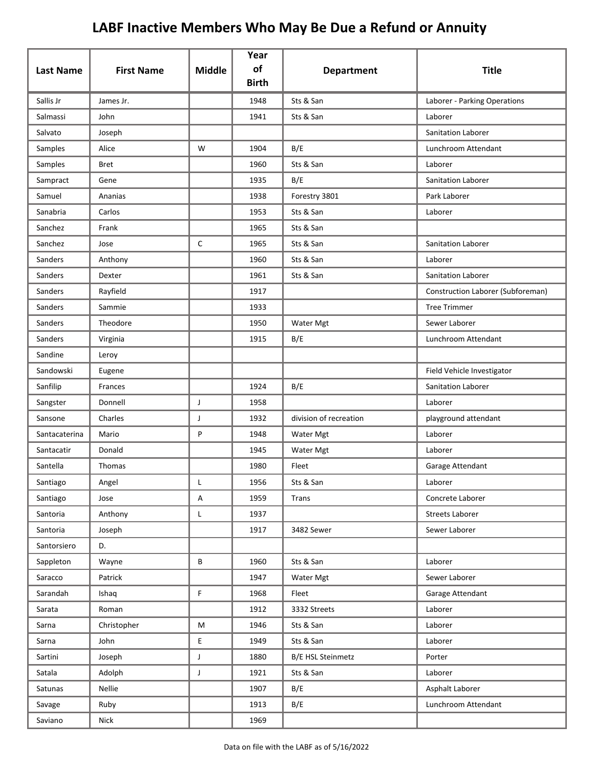| <b>Last Name</b> | <b>First Name</b> | <b>Middle</b> | Year<br>of   | <b>Department</b>      | <b>Title</b>                      |
|------------------|-------------------|---------------|--------------|------------------------|-----------------------------------|
|                  |                   |               | <b>Birth</b> |                        |                                   |
| Sallis Jr        | James Jr.         |               | 1948         | Sts & San              | Laborer - Parking Operations      |
| Salmassi         | John              |               | 1941         | Sts & San              | Laborer                           |
| Salvato          | Joseph            |               |              |                        | Sanitation Laborer                |
| Samples          | Alice             | W             | 1904         | B/E                    | Lunchroom Attendant               |
| Samples          | <b>Bret</b>       |               | 1960         | Sts & San              | Laborer                           |
| Sampract         | Gene              |               | 1935         | B/E                    | Sanitation Laborer                |
| Samuel           | Ananias           |               | 1938         | Forestry 3801          | Park Laborer                      |
| Sanabria         | Carlos            |               | 1953         | Sts & San              | Laborer                           |
| Sanchez          | Frank             |               | 1965         | Sts & San              |                                   |
| Sanchez          | Jose              | C             | 1965         | Sts & San              | Sanitation Laborer                |
| Sanders          | Anthony           |               | 1960         | Sts & San              | Laborer                           |
| Sanders          | Dexter            |               | 1961         | Sts & San              | <b>Sanitation Laborer</b>         |
| Sanders          | Rayfield          |               | 1917         |                        | Construction Laborer (Subforeman) |
| Sanders          | Sammie            |               | 1933         |                        | <b>Tree Trimmer</b>               |
| Sanders          | Theodore          |               | 1950         | Water Mgt              | Sewer Laborer                     |
| Sanders          | Virginia          |               | 1915         | B/E                    | Lunchroom Attendant               |
| Sandine          | Leroy             |               |              |                        |                                   |
| Sandowski        | Eugene            |               |              |                        | Field Vehicle Investigator        |
| Sanfilip         | Frances           |               | 1924         | B/E                    | Sanitation Laborer                |
| Sangster         | Donnell           | J             | 1958         |                        | Laborer                           |
| Sansone          | Charles           | J             | 1932         | division of recreation | playground attendant              |
| Santacaterina    | Mario             | P             | 1948         | Water Mgt              | Laborer                           |
| Santacatir       | Donald            |               | 1945         | Water Mgt              | Laborer                           |
| Santella         | Thomas            |               | 1980         | Fleet                  | Garage Attendant                  |
| Santiago         | Angel             |               | 1956         | Sts & San              | Laborer                           |
| Santiago         | Jose              | A             | 1959         | Trans                  | Concrete Laborer                  |
| Santoria         | Anthony           | L             | 1937         |                        | <b>Streets Laborer</b>            |
| Santoria         | Joseph            |               | 1917         | 3482 Sewer             | Sewer Laborer                     |
| Santorsiero      | D.                |               |              |                        |                                   |
| Sappleton        | Wayne             | B             | 1960         | Sts & San              | Laborer                           |
| Saracco          | Patrick           |               | 1947         | Water Mgt              | Sewer Laborer                     |
| Sarandah         | Ishaq             | F             | 1968         | Fleet                  | Garage Attendant                  |
| Sarata           | Roman             |               | 1912         | 3332 Streets           | Laborer                           |
| Sarna            | Christopher       | M             | 1946         | Sts & San              | Laborer                           |
| Sarna            | John              | E             | 1949         | Sts & San              | Laborer                           |
| Sartini          | Joseph            | J             | 1880         | B/E HSL Steinmetz      | Porter                            |
| Satala           | Adolph            | J             | 1921         | Sts & San              | Laborer                           |
| Satunas          | Nellie            |               | 1907         | B/E                    | Asphalt Laborer                   |
| Savage           | Ruby              |               | 1913         | B/E                    | Lunchroom Attendant               |
| Saviano          | Nick              |               | 1969         |                        |                                   |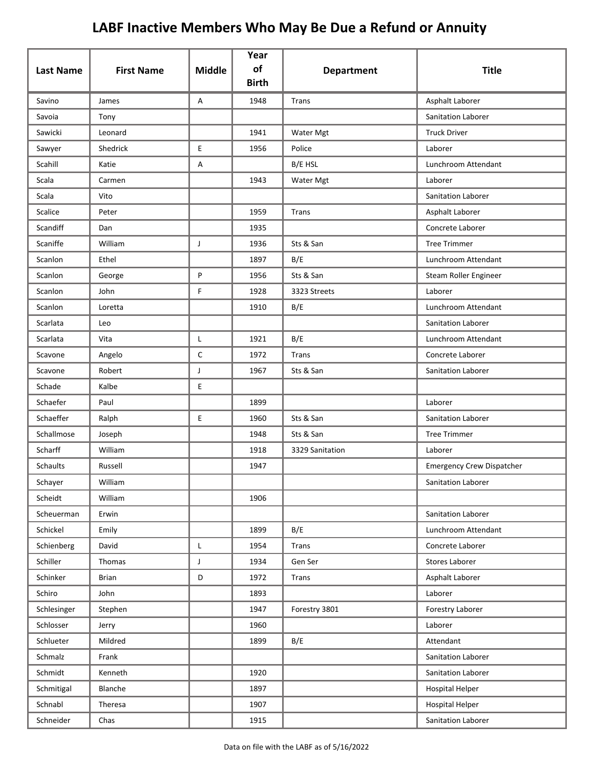| <b>Last Name</b> | <b>First Name</b> | <b>Middle</b> | Year<br>of<br><b>Birth</b> | <b>Department</b> | <b>Title</b>                     |
|------------------|-------------------|---------------|----------------------------|-------------------|----------------------------------|
| Savino           | James             | A             | 1948                       | Trans             | Asphalt Laborer                  |
| Savoia           | Tony              |               |                            |                   | Sanitation Laborer               |
| Sawicki          | Leonard           |               | 1941                       | Water Mgt         | <b>Truck Driver</b>              |
| Sawyer           | Shedrick          | E             | 1956                       | Police            | Laborer                          |
| Scahill          | Katie             | Α             |                            | B/E HSL           | Lunchroom Attendant              |
| Scala            | Carmen            |               | 1943                       | Water Mgt         | Laborer                          |
| Scala            | Vito              |               |                            |                   | Sanitation Laborer               |
| Scalice          | Peter             |               | 1959                       | Trans             | Asphalt Laborer                  |
| Scandiff         | Dan               |               | 1935                       |                   | Concrete Laborer                 |
| Scaniffe         | William           | J             | 1936                       | Sts & San         | <b>Tree Trimmer</b>              |
| Scanlon          | Ethel             |               | 1897                       | B/E               | Lunchroom Attendant              |
| Scanlon          | George            | P             | 1956                       | Sts & San         | Steam Roller Engineer            |
| Scanlon          | John              | F             | 1928                       | 3323 Streets      | Laborer                          |
| Scanlon          | Loretta           |               | 1910                       | B/E               | Lunchroom Attendant              |
| Scarlata         | Leo               |               |                            |                   | Sanitation Laborer               |
| Scarlata         | Vita              | L             | 1921                       | B/E               | Lunchroom Attendant              |
| Scavone          | Angelo            | $\mathsf C$   | 1972                       | Trans             | Concrete Laborer                 |
| Scavone          | Robert            | J             | 1967                       | Sts & San         | Sanitation Laborer               |
| Schade           | Kalbe             | $\mathsf E$   |                            |                   |                                  |
| Schaefer         | Paul              |               | 1899                       |                   | Laborer                          |
| Schaeffer        | Ralph             | E             | 1960                       | Sts & San         | Sanitation Laborer               |
| Schallmose       | Joseph            |               | 1948                       | Sts & San         | <b>Tree Trimmer</b>              |
| Scharff          | William           |               | 1918                       | 3329 Sanitation   | Laborer                          |
| Schaults         | Russell           |               | 1947                       |                   | <b>Emergency Crew Dispatcher</b> |
| Schayer          | William           |               |                            |                   | Sanitation Laborer               |
| Scheidt          | William           |               | 1906                       |                   |                                  |
| Scheuerman       | Erwin             |               |                            |                   | Sanitation Laborer               |
| Schickel         | Emily             |               | 1899                       | B/E               | Lunchroom Attendant              |
| Schienberg       | David             | L             | 1954                       | Trans             | Concrete Laborer                 |
| Schiller         | Thomas            | J             | 1934                       | Gen Ser           | Stores Laborer                   |
| Schinker         | <b>Brian</b>      | D             | 1972                       | <b>Trans</b>      | Asphalt Laborer                  |
| Schiro           | John              |               | 1893                       |                   | Laborer                          |
| Schlesinger      | Stephen           |               | 1947                       | Forestry 3801     | Forestry Laborer                 |
| Schlosser        | Jerry             |               | 1960                       |                   | Laborer                          |
| Schlueter        | Mildred           |               | 1899                       | B/E               | Attendant                        |
| Schmalz          | Frank             |               |                            |                   | Sanitation Laborer               |
| Schmidt          | Kenneth           |               | 1920                       |                   | Sanitation Laborer               |
| Schmitigal       | Blanche           |               | 1897                       |                   | <b>Hospital Helper</b>           |
| Schnabl          | Theresa           |               | 1907                       |                   | <b>Hospital Helper</b>           |
| Schneider        | Chas              |               | 1915                       |                   | Sanitation Laborer               |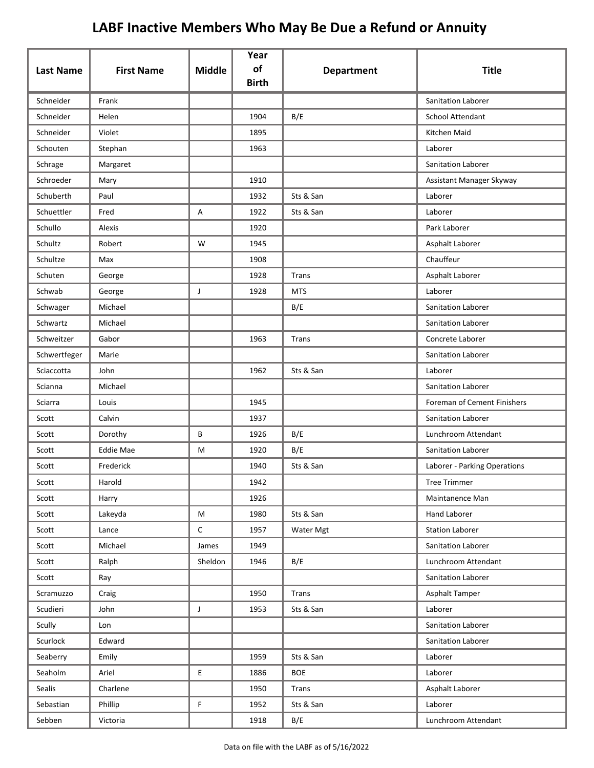| <b>Last Name</b> | <b>First Name</b> | <b>Middle</b> | Year<br>of   | <b>Department</b> | <b>Title</b>                 |
|------------------|-------------------|---------------|--------------|-------------------|------------------------------|
|                  |                   |               | <b>Birth</b> |                   |                              |
| Schneider        | Frank             |               |              |                   | Sanitation Laborer           |
| Schneider        | Helen             |               | 1904         | B/E               | School Attendant             |
| Schneider        | Violet            |               | 1895         |                   | Kitchen Maid                 |
| Schouten         | Stephan           |               | 1963         |                   | Laborer                      |
| Schrage          | Margaret          |               |              |                   | Sanitation Laborer           |
| Schroeder        | Mary              |               | 1910         |                   | Assistant Manager Skyway     |
| Schuberth        | Paul              |               | 1932         | Sts & San         | Laborer                      |
| Schuettler       | Fred              | Α             | 1922         | Sts & San         | Laborer                      |
| Schullo          | Alexis            |               | 1920         |                   | Park Laborer                 |
| Schultz          | Robert            | W             | 1945         |                   | Asphalt Laborer              |
| Schultze         | Max               |               | 1908         |                   | Chauffeur                    |
| Schuten          | George            |               | 1928         | Trans             | Asphalt Laborer              |
| Schwab           | George            | J             | 1928         | <b>MTS</b>        | Laborer                      |
| Schwager         | Michael           |               |              | B/E               | Sanitation Laborer           |
| Schwartz         | Michael           |               |              |                   | Sanitation Laborer           |
| Schweitzer       | Gabor             |               | 1963         | Trans             | Concrete Laborer             |
| Schwertfeger     | Marie             |               |              |                   | Sanitation Laborer           |
| Sciaccotta       | John              |               | 1962         | Sts & San         | Laborer                      |
| Scianna          | Michael           |               |              |                   | Sanitation Laborer           |
| Sciarra          | Louis             |               | 1945         |                   | Foreman of Cement Finishers  |
| Scott            | Calvin            |               | 1937         |                   | Sanitation Laborer           |
| Scott            | Dorothy           | В             | 1926         | B/E               | Lunchroom Attendant          |
| Scott            | <b>Eddie Mae</b>  | M             | 1920         | B/E               | <b>Sanitation Laborer</b>    |
| Scott            | Frederick         |               | 1940         | Sts & San         | Laborer - Parking Operations |
| Scott            | Harold            |               | 1942         |                   | Tree Trimmer                 |
| Scott            | Harry             |               | 1926         |                   | Maintanence Man              |
| Scott            | Lakeyda           | M             | 1980         | Sts & San         | Hand Laborer                 |
| Scott            | Lance             | $\mathsf C$   | 1957         | Water Mgt         | <b>Station Laborer</b>       |
| Scott            | Michael           | James         | 1949         |                   | Sanitation Laborer           |
| Scott            | Ralph             | Sheldon       | 1946         | B/E               | Lunchroom Attendant          |
| Scott            | Ray               |               |              |                   | Sanitation Laborer           |
| Scramuzzo        | Craig             |               | 1950         | <b>Trans</b>      | Asphalt Tamper               |
| Scudieri         | John              | J             | 1953         | Sts & San         | Laborer                      |
| Scully           | Lon               |               |              |                   | Sanitation Laborer           |
| Scurlock         | Edward            |               |              |                   | Sanitation Laborer           |
| Seaberry         | Emily             |               | 1959         | Sts & San         | Laborer                      |
| Seaholm          | Ariel             | E             | 1886         | <b>BOE</b>        | Laborer                      |
| Sealis           | Charlene          |               | 1950         | Trans             | Asphalt Laborer              |
| Sebastian        | Phillip           | F             | 1952         | Sts & San         | Laborer                      |
| Sebben           | Victoria          |               | 1918         | B/E               | Lunchroom Attendant          |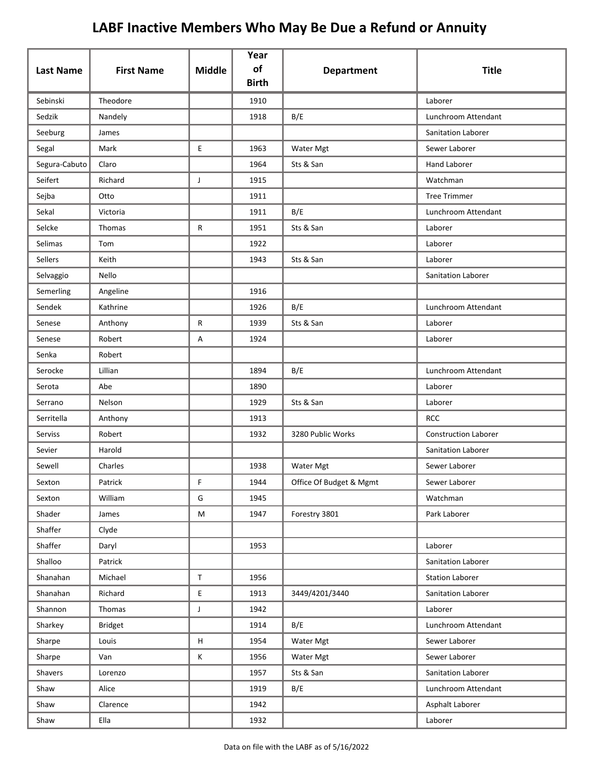|                  |                   |                           | Year<br>of   |                         |                             |
|------------------|-------------------|---------------------------|--------------|-------------------------|-----------------------------|
| <b>Last Name</b> | <b>First Name</b> | <b>Middle</b>             | <b>Birth</b> | <b>Department</b>       | <b>Title</b>                |
| Sebinski         | Theodore          |                           | 1910         |                         | Laborer                     |
| Sedzik           | Nandely           |                           | 1918         | B/E                     | Lunchroom Attendant         |
| Seeburg          | James             |                           |              |                         | Sanitation Laborer          |
| Segal            | Mark              | E                         | 1963         | Water Mgt               | Sewer Laborer               |
| Segura-Cabuto    | Claro             |                           | 1964         | Sts & San               | <b>Hand Laborer</b>         |
| Seifert          | Richard           | J                         | 1915         |                         | Watchman                    |
| Sejba            | Otto              |                           | 1911         |                         | <b>Tree Trimmer</b>         |
| Sekal            | Victoria          |                           | 1911         | B/E                     | Lunchroom Attendant         |
| Selcke           | Thomas            | R                         | 1951         | Sts & San               | Laborer                     |
| Selimas          | Tom               |                           | 1922         |                         | Laborer                     |
| Sellers          | Keith             |                           | 1943         | Sts & San               | Laborer                     |
| Selvaggio        | Nello             |                           |              |                         | Sanitation Laborer          |
| Semerling        | Angeline          |                           | 1916         |                         |                             |
| Sendek           | Kathrine          |                           | 1926         | B/E                     | Lunchroom Attendant         |
| Senese           | Anthony           | R                         | 1939         | Sts & San               | Laborer                     |
| Senese           | Robert            | Α                         | 1924         |                         | Laborer                     |
| Senka            | Robert            |                           |              |                         |                             |
| Serocke          | Lillian           |                           | 1894         | B/E                     | Lunchroom Attendant         |
| Serota           | Abe               |                           | 1890         |                         | Laborer                     |
| Serrano          | Nelson            |                           | 1929         | Sts & San               | Laborer                     |
| Serritella       | Anthony           |                           | 1913         |                         | <b>RCC</b>                  |
| Serviss          | Robert            |                           | 1932         | 3280 Public Works       | <b>Construction Laborer</b> |
| Sevier           | Harold            |                           |              |                         | Sanitation Laborer          |
| Sewell           | Charles           |                           | 1938         | Water Mgt               | Sewer Laborer               |
| Sexton           | Patrick           | F                         | 1944         | Office Of Budget & Mgmt | Sewer Laborer               |
| Sexton           | William           | G                         | 1945         |                         | Watchman                    |
| Shader           | James             | ${\sf M}$                 | 1947         | Forestry 3801           | Park Laborer                |
| Shaffer          | Clyde             |                           |              |                         |                             |
| Shaffer          | Daryl             |                           | 1953         |                         | Laborer                     |
| Shalloo          | Patrick           |                           |              |                         | Sanitation Laborer          |
| Shanahan         | Michael           | $\mathsf T$               | 1956         |                         | <b>Station Laborer</b>      |
| Shanahan         | Richard           | $\mathsf E$               | 1913         | 3449/4201/3440          | Sanitation Laborer          |
| Shannon          | Thomas            | J                         | 1942         |                         | Laborer                     |
| Sharkey          | <b>Bridget</b>    |                           | 1914         | B/E                     | Lunchroom Attendant         |
| Sharpe           | Louis             | $\boldsymbol{\mathsf{H}}$ | 1954         | Water Mgt               | Sewer Laborer               |
| Sharpe           | Van               | К                         | 1956         | Water Mgt               | Sewer Laborer               |
| Shavers          | Lorenzo           |                           | 1957         | Sts & San               | Sanitation Laborer          |
| Shaw             | Alice             |                           | 1919         | B/E                     | Lunchroom Attendant         |
| Shaw             | Clarence          |                           | 1942         |                         | Asphalt Laborer             |
| Shaw             | Ella              |                           | 1932         |                         | Laborer                     |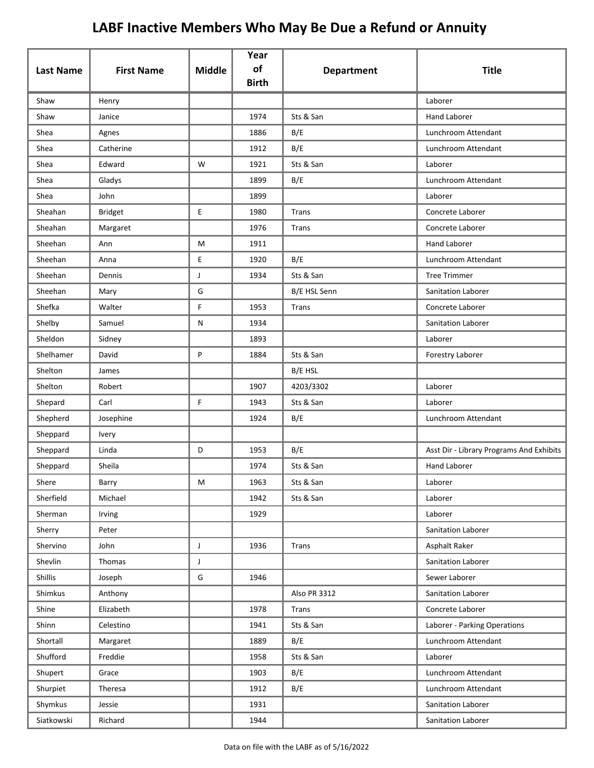| <b>Last Name</b> | <b>First Name</b> | <b>Middle</b> | Year<br>of<br><b>Birth</b> | <b>Department</b> | <b>Title</b>                             |
|------------------|-------------------|---------------|----------------------------|-------------------|------------------------------------------|
| Shaw             | Henry             |               |                            |                   | Laborer                                  |
| Shaw             | Janice            |               | 1974                       | Sts & San         | <b>Hand Laborer</b>                      |
| Shea             | Agnes             |               | 1886                       | B/E               | Lunchroom Attendant                      |
| Shea             | Catherine         |               | 1912                       | B/E               | Lunchroom Attendant                      |
| Shea             | Edward            | W             | 1921                       | Sts & San         | Laborer                                  |
| Shea             | Gladys            |               | 1899                       | B/E               | Lunchroom Attendant                      |
| Shea             | John              |               | 1899                       |                   | Laborer                                  |
| Sheahan          | <b>Bridget</b>    | E             | 1980                       | Trans             | Concrete Laborer                         |
| Sheahan          | Margaret          |               | 1976                       | Trans             | Concrete Laborer                         |
| Sheehan          | Ann               | M             | 1911                       |                   | <b>Hand Laborer</b>                      |
| Sheehan          | Anna              | E             | 1920                       | B/E               | Lunchroom Attendant                      |
| Sheehan          | Dennis            | J             | 1934                       | Sts & San         | <b>Tree Trimmer</b>                      |
| Sheehan          | Mary              | G             |                            | B/E HSL Senn      | <b>Sanitation Laborer</b>                |
| Shefka           | Walter            | F             | 1953                       | Trans             | Concrete Laborer                         |
| Shelby           | Samuel            | N             | 1934                       |                   | Sanitation Laborer                       |
| Sheldon          | Sidney            |               | 1893                       |                   | Laborer                                  |
| Shelhamer        | David             | P             | 1884                       | Sts & San         | Forestry Laborer                         |
| Shelton          | James             |               |                            | B/E HSL           |                                          |
| Shelton          | Robert            |               | 1907                       | 4203/3302         | Laborer                                  |
| Shepard          | Carl              | F             | 1943                       | Sts & San         | Laborer                                  |
| Shepherd         | Josephine         |               | 1924                       | B/E               | Lunchroom Attendant                      |
| Sheppard         | Ivery             |               |                            |                   |                                          |
| Sheppard         | Linda             | D             | 1953                       | B/E               | Asst Dir - Library Programs And Exhibits |
| Sheppard         | Sheila            |               | 1974                       | Sts & San         | <b>Hand Laborer</b>                      |
| Shere            | Barry             | M             | 1963                       | Sts & San         | Laborer                                  |
| Sherfield        | Michael           |               | 1942                       | Sts & San         | Laborer                                  |
| Sherman          | Irving            |               | 1929                       |                   | Laborer                                  |
| Sherry           | Peter             |               |                            |                   | Sanitation Laborer                       |
| Shervino         | John              | $\mathsf J$   | 1936                       | Trans             | Asphalt Raker                            |
| Shevlin          | Thomas            | J             |                            |                   | Sanitation Laborer                       |
| Shillis          | Joseph            | G             | 1946                       |                   | Sewer Laborer                            |
| Shimkus          | Anthony           |               |                            | Also PR 3312      | Sanitation Laborer                       |
| Shine            | Elizabeth         |               | 1978                       | Trans             | Concrete Laborer                         |
| Shinn            | Celestino         |               | 1941                       | Sts & San         | Laborer - Parking Operations             |
| Shortall         | Margaret          |               | 1889                       | B/E               | Lunchroom Attendant                      |
| Shufford         | Freddie           |               | 1958                       | Sts & San         | Laborer                                  |
| Shupert          | Grace             |               | 1903                       | B/E               | Lunchroom Attendant                      |
| Shurpiet         | Theresa           |               | 1912                       | B/E               | Lunchroom Attendant                      |
| Shymkus          | Jessie            |               | 1931                       |                   | Sanitation Laborer                       |
| Siatkowski       | Richard           |               | 1944                       |                   | Sanitation Laborer                       |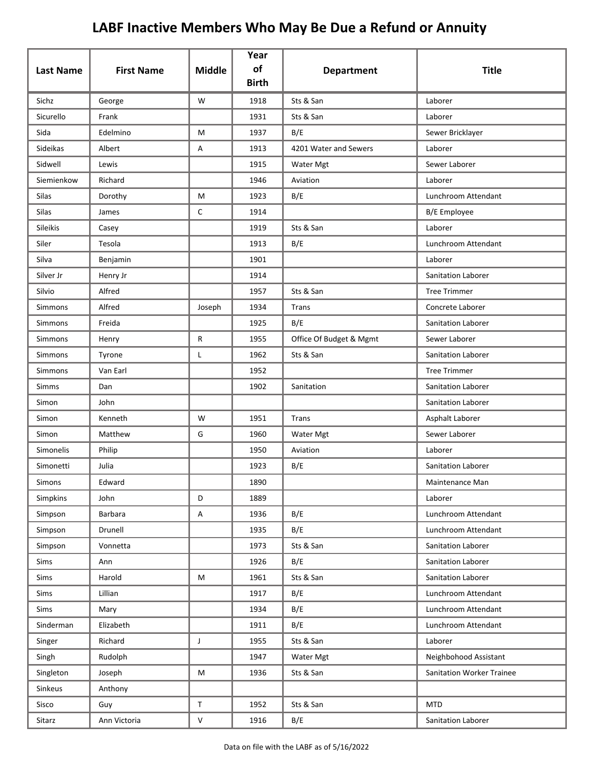|                  |                   |               | Year<br>of   |                         |                                  |
|------------------|-------------------|---------------|--------------|-------------------------|----------------------------------|
| <b>Last Name</b> | <b>First Name</b> | <b>Middle</b> | <b>Birth</b> | <b>Department</b>       | <b>Title</b>                     |
| Sichz            | George            | W             | 1918         | Sts & San               | Laborer                          |
| Sicurello        | Frank             |               | 1931         | Sts & San               | Laborer                          |
| Sida             | Edelmino          | М             | 1937         | B/E                     | Sewer Bricklayer                 |
| Sideikas         | Albert            | Α             | 1913         | 4201 Water and Sewers   | Laborer                          |
| Sidwell          | Lewis             |               | 1915         | Water Mgt               | Sewer Laborer                    |
| Siemienkow       | Richard           |               | 1946         | Aviation                | Laborer                          |
| Silas            | Dorothy           | М             | 1923         | B/E                     | Lunchroom Attendant              |
| <b>Silas</b>     | James             | C             | 1914         |                         | <b>B/E</b> Employee              |
| Sileikis         | Casey             |               | 1919         | Sts & San               | Laborer                          |
| Siler            | Tesola            |               | 1913         | B/E                     | Lunchroom Attendant              |
| Silva            | Benjamin          |               | 1901         |                         | Laborer                          |
| Silver Jr        | Henry Jr          |               | 1914         |                         | Sanitation Laborer               |
| Silvio           | Alfred            |               | 1957         | Sts & San               | <b>Tree Trimmer</b>              |
| Simmons          | Alfred            | Joseph        | 1934         | Trans                   | Concrete Laborer                 |
| Simmons          | Freida            |               | 1925         | B/E                     | Sanitation Laborer               |
| Simmons          | Henry             | R             | 1955         | Office Of Budget & Mgmt | Sewer Laborer                    |
| Simmons          | Tyrone            | Г             | 1962         | Sts & San               | Sanitation Laborer               |
| Simmons          | Van Earl          |               | 1952         |                         | <b>Tree Trimmer</b>              |
| Simms            | Dan               |               | 1902         | Sanitation              | Sanitation Laborer               |
| Simon            | John              |               |              |                         | Sanitation Laborer               |
| Simon            | Kenneth           | W             | 1951         | Trans                   | Asphalt Laborer                  |
| Simon            | Matthew           | G             | 1960         | Water Mgt               | Sewer Laborer                    |
| Simonelis        | Philip            |               | 1950         | Aviation                | Laborer                          |
| Simonetti        | Julia             |               | 1923         | B/E                     | <b>Sanitation Laborer</b>        |
| Simons           | Edward            |               | 1890         |                         | Maintenance Man                  |
| Simpkins         | John              | D             | 1889         |                         | Laborer                          |
| Simpson          | Barbara           | А             | 1936         | B/E                     | Lunchroom Attendant              |
| Simpson          | Drunell           |               | 1935         | B/E                     | Lunchroom Attendant              |
| Simpson          | Vonnetta          |               | 1973         | Sts & San               | Sanitation Laborer               |
| Sims             | Ann               |               | 1926         | B/E                     | Sanitation Laborer               |
| Sims             | Harold            | M             | 1961         | Sts & San               | Sanitation Laborer               |
| Sims             | Lillian           |               | 1917         | B/E                     | Lunchroom Attendant              |
| Sims             | Mary              |               | 1934         | B/E                     | Lunchroom Attendant              |
| Sinderman        | Elizabeth         |               | 1911         | B/E                     | Lunchroom Attendant              |
| Singer           | Richard           | J             | 1955         | Sts & San               | Laborer                          |
| Singh            | Rudolph           |               | 1947         | Water Mgt               | Neighbohood Assistant            |
| Singleton        | Joseph            | M             | 1936         | Sts & San               | <b>Sanitation Worker Trainee</b> |
| Sinkeus          | Anthony           |               |              |                         |                                  |
| Sisco            | Guy               | T             | 1952         | Sts & San               | <b>MTD</b>                       |
| Sitarz           | Ann Victoria      | V             | 1916         | B/E                     | Sanitation Laborer               |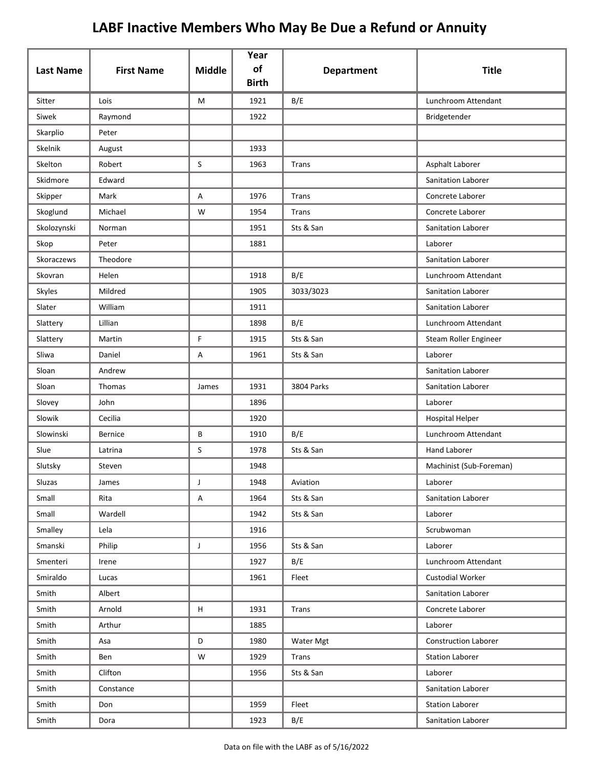| <b>Last Name</b> | <b>First Name</b> | <b>Middle</b> | Year<br>of   | <b>Department</b> | <b>Title</b>                |
|------------------|-------------------|---------------|--------------|-------------------|-----------------------------|
|                  |                   |               | <b>Birth</b> |                   |                             |
| Sitter           | Lois              | M             | 1921         | B/E               | Lunchroom Attendant         |
| Siwek            | Raymond           |               | 1922         |                   | Bridgetender                |
| Skarplio         | Peter             |               |              |                   |                             |
| Skelnik          | August            |               | 1933         |                   |                             |
| Skelton          | Robert            | S             | 1963         | Trans             | Asphalt Laborer             |
| Skidmore         | Edward            |               |              |                   | Sanitation Laborer          |
| Skipper          | Mark              | Α             | 1976         | <b>Trans</b>      | Concrete Laborer            |
| Skoglund         | Michael           | W             | 1954         | Trans             | Concrete Laborer            |
| Skolozynski      | Norman            |               | 1951         | Sts & San         | Sanitation Laborer          |
| Skop             | Peter             |               | 1881         |                   | Laborer                     |
| Skoraczews       | Theodore          |               |              |                   | Sanitation Laborer          |
| Skovran          | Helen             |               | 1918         | B/E               | Lunchroom Attendant         |
| Skyles           | Mildred           |               | 1905         | 3033/3023         | <b>Sanitation Laborer</b>   |
| Slater           | William           |               | 1911         |                   | Sanitation Laborer          |
| Slattery         | Lillian           |               | 1898         | B/E               | Lunchroom Attendant         |
| Slattery         | Martin            | F             | 1915         | Sts & San         | Steam Roller Engineer       |
| Sliwa            | Daniel            | Α             | 1961         | Sts & San         | Laborer                     |
| Sloan            | Andrew            |               |              |                   | Sanitation Laborer          |
| Sloan            | Thomas            | James         | 1931         | 3804 Parks        | Sanitation Laborer          |
| Slovey           | John              |               | 1896         |                   | Laborer                     |
| Slowik           | Cecilia           |               | 1920         |                   | <b>Hospital Helper</b>      |
| Slowinski        | Bernice           | B             | 1910         | B/E               | Lunchroom Attendant         |
| Slue             | Latrina           | S             | 1978         | Sts & San         | Hand Laborer                |
| Slutsky          | Steven            |               | 1948         |                   | Machinist (Sub-Foreman)     |
| Sluzas           | James             |               | 1948         | Aviation          | Laborer                     |
| Small            | Rita              | Α             | 1964         | Sts & San         | Sanitation Laborer          |
| Small            | Wardell           |               | 1942         | Sts & San         | Laborer                     |
| Smalley          | Lela              |               | 1916         |                   | Scrubwoman                  |
| Smanski          | Philip            | $\mathsf{J}$  | 1956         | Sts & San         | Laborer                     |
| Smenteri         | Irene             |               | 1927         | B/E               | Lunchroom Attendant         |
| Smiraldo         | Lucas             |               | 1961         | Fleet             | <b>Custodial Worker</b>     |
| Smith            | Albert            |               |              |                   | Sanitation Laborer          |
| Smith            | Arnold            | H             | 1931         | Trans             | Concrete Laborer            |
| Smith            | Arthur            |               | 1885         |                   | Laborer                     |
| Smith            | Asa               | D             | 1980         | Water Mgt         | <b>Construction Laborer</b> |
| Smith            | Ben               | W             | 1929         | Trans             | <b>Station Laborer</b>      |
| Smith            | Clifton           |               | 1956         | Sts & San         | Laborer                     |
| Smith            | Constance         |               |              |                   | Sanitation Laborer          |
| Smith            | Don               |               | 1959         | Fleet             | <b>Station Laborer</b>      |
| Smith            | Dora              |               | 1923         | B/E               | Sanitation Laborer          |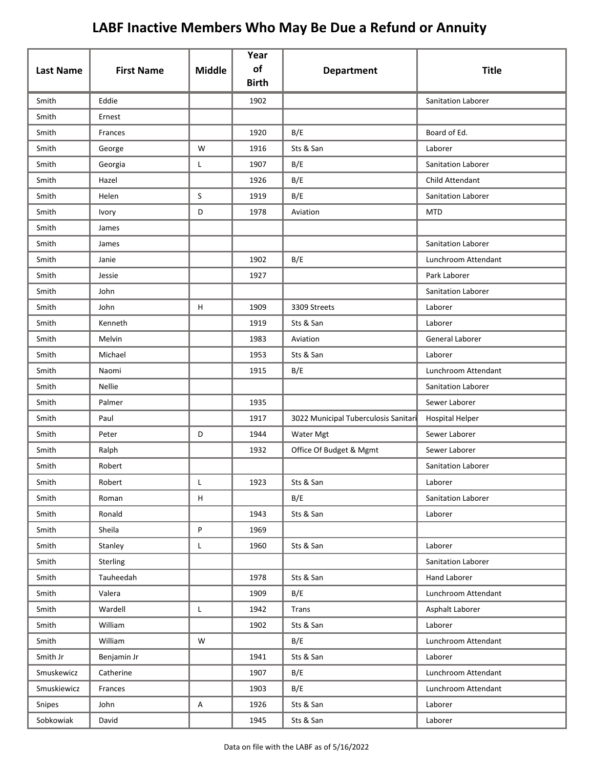| <b>Last Name</b> | <b>First Name</b> | <b>Middle</b>                                                   | Year<br>of<br><b>Birth</b> | <b>Department</b>                    | <b>Title</b>           |
|------------------|-------------------|-----------------------------------------------------------------|----------------------------|--------------------------------------|------------------------|
| Smith            | Eddie             |                                                                 | 1902                       |                                      | Sanitation Laborer     |
| Smith            | Ernest            |                                                                 |                            |                                      |                        |
| Smith            | Frances           |                                                                 | 1920                       | B/E                                  | Board of Ed.           |
| Smith            | George            | W                                                               | 1916                       | Sts & San                            | Laborer                |
| Smith            | Georgia           | L                                                               | 1907                       | B/E                                  | Sanitation Laborer     |
| Smith            | Hazel             |                                                                 | 1926                       | B/E                                  | Child Attendant        |
| Smith            | Helen             | S                                                               | 1919                       | B/E                                  | Sanitation Laborer     |
| Smith            | Ivory             | D                                                               | 1978                       | Aviation                             | <b>MTD</b>             |
| Smith            | James             |                                                                 |                            |                                      |                        |
| Smith            | James             |                                                                 |                            |                                      | Sanitation Laborer     |
| Smith            | Janie             |                                                                 | 1902                       | B/E                                  | Lunchroom Attendant    |
| Smith            | Jessie            |                                                                 | 1927                       |                                      | Park Laborer           |
| Smith            | John              |                                                                 |                            |                                      | Sanitation Laborer     |
| Smith            | John              | H                                                               | 1909                       | 3309 Streets                         | Laborer                |
| Smith            | Kenneth           |                                                                 | 1919                       | Sts & San                            | Laborer                |
| Smith            | Melvin            |                                                                 | 1983                       | Aviation                             | General Laborer        |
| Smith            | Michael           |                                                                 | 1953                       | Sts & San                            | Laborer                |
| Smith            | Naomi             |                                                                 | 1915                       | B/E                                  | Lunchroom Attendant    |
| Smith            | <b>Nellie</b>     |                                                                 |                            |                                      | Sanitation Laborer     |
| Smith            | Palmer            |                                                                 | 1935                       |                                      | Sewer Laborer          |
| Smith            | Paul              |                                                                 | 1917                       | 3022 Municipal Tuberculosis Sanitari | <b>Hospital Helper</b> |
| Smith            | Peter             | D                                                               | 1944                       | Water Mgt                            | Sewer Laborer          |
| Smith            | Ralph             |                                                                 | 1932                       | Office Of Budget & Mgmt              | Sewer Laborer          |
| Smith            | Robert            |                                                                 |                            |                                      | Sanitation Laborer     |
| Smith            | Robert            |                                                                 | 1923                       | Sts & San                            | Laborer                |
| Smith            | Roman             | H                                                               |                            | B/E                                  | Sanitation Laborer     |
| Smith            | Ronald            |                                                                 | 1943                       | Sts & San                            | Laborer                |
| Smith            | Sheila            | $\mathsf{P}% _{T}=\mathsf{P}_{T}\!\left( \mathsf{P}_{T}\right)$ | 1969                       |                                      |                        |
| Smith            | Stanley           | L                                                               | 1960                       | Sts & San                            | Laborer                |
| Smith            | Sterling          |                                                                 |                            |                                      | Sanitation Laborer     |
| Smith            | Tauheedah         |                                                                 | 1978                       | Sts & San                            | Hand Laborer           |
| Smith            | Valera            |                                                                 | 1909                       | B/E                                  | Lunchroom Attendant    |
| Smith            | Wardell           | L                                                               | 1942                       | Trans                                | Asphalt Laborer        |
| Smith            | William           |                                                                 | 1902                       | Sts & San                            | Laborer                |
| Smith            | William           | W                                                               |                            | B/E                                  | Lunchroom Attendant    |
| Smith Jr         | Benjamin Jr       |                                                                 | 1941                       | Sts & San                            | Laborer                |
| Smuskewicz       | Catherine         |                                                                 | 1907                       | B/E                                  | Lunchroom Attendant    |
| Smuskiewicz      | Frances           |                                                                 | 1903                       | B/E                                  | Lunchroom Attendant    |
| Snipes           | John              | A                                                               | 1926                       | Sts & San                            | Laborer                |
| Sobkowiak        | David             |                                                                 | 1945                       | Sts & San                            | Laborer                |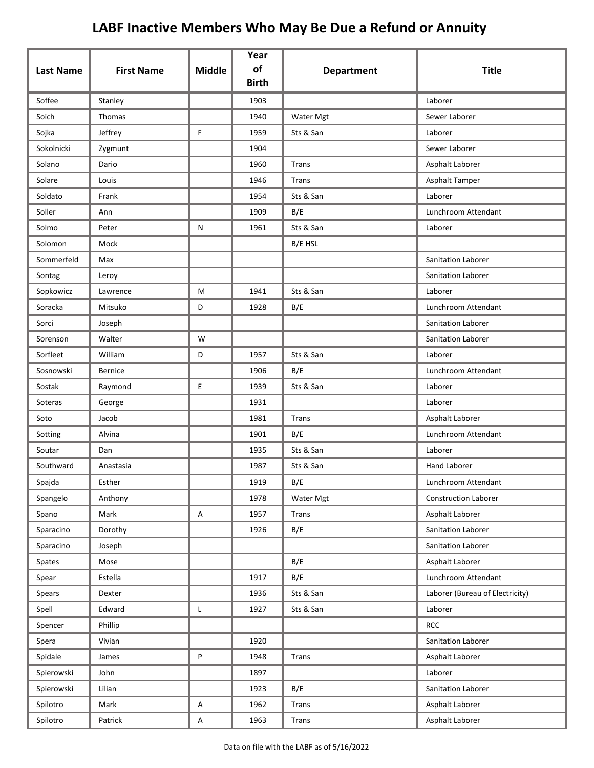| <b>Last Name</b> | <b>First Name</b> | <b>Middle</b>             | Year<br>of   |                   | <b>Title</b>                    |
|------------------|-------------------|---------------------------|--------------|-------------------|---------------------------------|
|                  |                   |                           | <b>Birth</b> | <b>Department</b> |                                 |
| Soffee           | Stanley           |                           | 1903         |                   | Laborer                         |
| Soich            | Thomas            |                           | 1940         | <b>Water Mgt</b>  | Sewer Laborer                   |
| Sojka            | Jeffrey           | F                         | 1959         | Sts & San         | Laborer                         |
| Sokolnicki       | Zygmunt           |                           | 1904         |                   | Sewer Laborer                   |
| Solano           | Dario             |                           | 1960         | Trans             | Asphalt Laborer                 |
| Solare           | Louis             |                           | 1946         | Trans             | Asphalt Tamper                  |
| Soldato          | Frank             |                           | 1954         | Sts & San         | Laborer                         |
| Soller           | Ann               |                           | 1909         | B/E               | Lunchroom Attendant             |
| Solmo            | Peter             | ${\sf N}$                 | 1961         | Sts & San         | Laborer                         |
| Solomon          | Mock              |                           |              | B/E HSL           |                                 |
| Sommerfeld       | Max               |                           |              |                   | Sanitation Laborer              |
| Sontag           | Leroy             |                           |              |                   | Sanitation Laborer              |
| Sopkowicz        | Lawrence          | M                         | 1941         | Sts & San         | Laborer                         |
| Soracka          | Mitsuko           | D                         | 1928         | B/E               | Lunchroom Attendant             |
| Sorci            | Joseph            |                           |              |                   | <b>Sanitation Laborer</b>       |
| Sorenson         | Walter            | W                         |              |                   | Sanitation Laborer              |
| Sorfleet         | William           | D                         | 1957         | Sts & San         | Laborer                         |
| Sosnowski        | <b>Bernice</b>    |                           | 1906         | B/E               | Lunchroom Attendant             |
| Sostak           | Raymond           | E                         | 1939         | Sts & San         | Laborer                         |
| Soteras          | George            |                           | 1931         |                   | Laborer                         |
| Soto             | Jacob             |                           | 1981         | Trans             | Asphalt Laborer                 |
| Sotting          | Alvina            |                           | 1901         | B/E               | Lunchroom Attendant             |
| Soutar           | Dan               |                           | 1935         | Sts & San         | Laborer                         |
| Southward        | Anastasia         |                           | 1987         | Sts & San         | <b>Hand Laborer</b>             |
| Spajda           | Esther            |                           | 1919         | B/E               | Lunchroom Attendant             |
| Spangelo         | Anthony           |                           | 1978         | Water Mgt         | <b>Construction Laborer</b>     |
| Spano            | Mark              | $\boldsymbol{\mathsf{A}}$ | 1957         | Trans             | Asphalt Laborer                 |
| Sparacino        | Dorothy           |                           | 1926         | B/E               | Sanitation Laborer              |
| Sparacino        | Joseph            |                           |              |                   | Sanitation Laborer              |
| Spates           | Mose              |                           |              | B/E               | Asphalt Laborer                 |
| Spear            | Estella           |                           | 1917         | B/E               | Lunchroom Attendant             |
| Spears           | Dexter            |                           | 1936         | Sts & San         | Laborer (Bureau of Electricity) |
| Spell            | Edward            | L                         | 1927         | Sts & San         | Laborer                         |
| Spencer          | Phillip           |                           |              |                   | <b>RCC</b>                      |
| Spera            | Vivian            |                           | 1920         |                   | Sanitation Laborer              |
| Spidale          | James             | P                         | 1948         | Trans             | Asphalt Laborer                 |
| Spierowski       | John              |                           | 1897         |                   | Laborer                         |
| Spierowski       | Lilian            |                           | 1923         | B/E               | Sanitation Laborer              |
| Spilotro         | Mark              | $\boldsymbol{\mathsf{A}}$ | 1962         | Trans             | Asphalt Laborer                 |
| Spilotro         | Patrick           | $\mathsf A$               | 1963         | Trans             | Asphalt Laborer                 |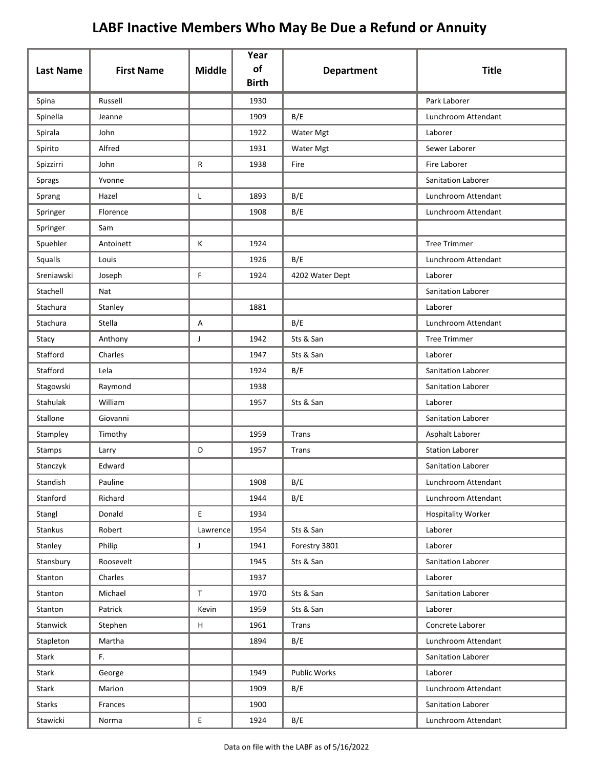|                  |                   |                                            | Year<br>of   |                   |                           |
|------------------|-------------------|--------------------------------------------|--------------|-------------------|---------------------------|
| <b>Last Name</b> | <b>First Name</b> | <b>Middle</b>                              | <b>Birth</b> | <b>Department</b> | <b>Title</b>              |
| Spina            | Russell           |                                            | 1930         |                   | Park Laborer              |
| Spinella         | Jeanne            |                                            | 1909         | B/E               | Lunchroom Attendant       |
| Spirala          | John              |                                            | 1922         | Water Mgt         | Laborer                   |
| Spirito          | Alfred            |                                            | 1931         | <b>Water Mgt</b>  | Sewer Laborer             |
| Spizzirri        | John              | R                                          | 1938         | Fire              | Fire Laborer              |
| Sprags           | Yvonne            |                                            |              |                   | Sanitation Laborer        |
| Sprang           | Hazel             | L                                          | 1893         | B/E               | Lunchroom Attendant       |
| Springer         | Florence          |                                            | 1908         | B/E               | Lunchroom Attendant       |
| Springer         | Sam               |                                            |              |                   |                           |
| Spuehler         | Antoinett         | Κ                                          | 1924         |                   | <b>Tree Trimmer</b>       |
| Squalls          | Louis             |                                            | 1926         | B/E               | Lunchroom Attendant       |
| Sreniawski       | Joseph            | F                                          | 1924         | 4202 Water Dept   | Laborer                   |
| Stachell         | Nat               |                                            |              |                   | Sanitation Laborer        |
| Stachura         | Stanley           |                                            | 1881         |                   | Laborer                   |
| Stachura         | Stella            | A                                          |              | B/E               | Lunchroom Attendant       |
| Stacy            | Anthony           | J                                          | 1942         | Sts & San         | <b>Tree Trimmer</b>       |
| Stafford         | Charles           |                                            | 1947         | Sts & San         | Laborer                   |
| Stafford         | Lela              |                                            | 1924         | B/E               | Sanitation Laborer        |
| Stagowski        | Raymond           |                                            | 1938         |                   | Sanitation Laborer        |
| Stahulak         | William           |                                            | 1957         | Sts & San         | Laborer                   |
| Stallone         | Giovanni          |                                            |              |                   | Sanitation Laborer        |
| Stampley         | Timothy           |                                            | 1959         | Trans             | Asphalt Laborer           |
| Stamps           | Larry             | D                                          | 1957         | Trans             | <b>Station Laborer</b>    |
| Stanczyk         | Edward            |                                            |              |                   | Sanitation Laborer        |
| Standish         | Pauline           |                                            | 1908         | B/E               | Lunchroom Attendant       |
| Stanford         | Richard           |                                            | 1944         | B/E               | Lunchroom Attendant       |
| Stangl           | Donald            | $\mathsf{E}$                               | 1934         |                   | <b>Hospitality Worker</b> |
| Stankus          | Robert            | Lawrence                                   | 1954         | Sts & San         | Laborer                   |
| Stanley          | Philip            | J                                          | 1941         | Forestry 3801     | Laborer                   |
| Stansbury        | Roosevelt         |                                            | 1945         | Sts & San         | Sanitation Laborer        |
| Stanton          | Charles           |                                            | 1937         |                   | Laborer                   |
| Stanton          | Michael           | $\mathsf T$                                | 1970         | Sts & San         | Sanitation Laborer        |
| Stanton          | Patrick           | Kevin                                      | 1959         | Sts & San         | Laborer                   |
| Stanwick         | Stephen           | H                                          | 1961         | Trans             | Concrete Laborer          |
| Stapleton        | Martha            |                                            | 1894         | B/E               | Lunchroom Attendant       |
| Stark            | F.                |                                            |              |                   | Sanitation Laborer        |
| Stark            | George            |                                            | 1949         | Public Works      | Laborer                   |
| Stark            | Marion            |                                            | 1909         | B/E               | Lunchroom Attendant       |
| Starks           | Frances           |                                            | 1900         |                   | Sanitation Laborer        |
| Stawicki         | Norma             | $\mathsf{E}% _{0}\left( \mathsf{E}\right)$ | 1924         | B/E               | Lunchroom Attendant       |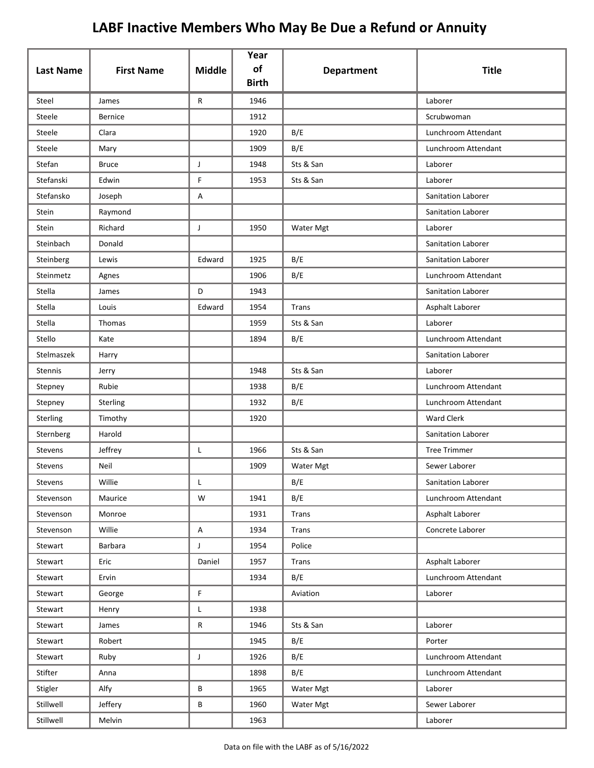| <b>Last Name</b> | <b>First Name</b> | <b>Middle</b>  | Year<br>of<br><b>Birth</b> | <b>Department</b>       | <b>Title</b>        |
|------------------|-------------------|----------------|----------------------------|-------------------------|---------------------|
| Steel            | James             | R              | 1946                       |                         | Laborer             |
| Steele           | <b>Bernice</b>    |                | 1912                       |                         | Scrubwoman          |
| Steele           | Clara             |                | 1920                       | B/E                     | Lunchroom Attendant |
| Steele           | Mary              |                | 1909                       | B/E                     | Lunchroom Attendant |
| Stefan           | <b>Bruce</b>      | J              | 1948                       | Sts & San               | Laborer             |
| Stefanski        | Edwin             | F.             | 1953                       | Sts & San               | Laborer             |
| Stefansko        | Joseph            | Α              |                            |                         | Sanitation Laborer  |
| Stein            | Raymond           |                |                            |                         | Sanitation Laborer  |
| Stein            | Richard           | J              | 1950                       | Water Mgt               | Laborer             |
| Steinbach        | Donald            |                |                            |                         | Sanitation Laborer  |
| Steinberg        | Lewis             | Edward         | 1925                       | B/E                     | Sanitation Laborer  |
| Steinmetz        | Agnes             |                | 1906                       | B/E                     | Lunchroom Attendant |
| Stella           | James             | D              | 1943                       |                         | Sanitation Laborer  |
| Stella           | Louis             | Edward         | 1954                       | Trans                   | Asphalt Laborer     |
| Stella           | Thomas            |                | 1959                       | Sts & San               | Laborer             |
| Stello           | Kate              |                | 1894                       | B/E                     | Lunchroom Attendant |
| Stelmaszek       | Harry             |                |                            |                         | Sanitation Laborer  |
| Stennis          | Jerry             |                | 1948                       | Sts & San               | Laborer             |
| Stepney          | Rubie             |                | 1938                       | B/E                     | Lunchroom Attendant |
| Stepney          | Sterling          |                | 1932                       | B/E                     | Lunchroom Attendant |
| Sterling         | Timothy           |                | 1920                       |                         | <b>Ward Clerk</b>   |
| Sternberg        | Harold            |                |                            |                         | Sanitation Laborer  |
| Stevens          | Jeffrey           | Г              | 1966                       | Sts & San               | <b>Tree Trimmer</b> |
| Stevens          | Neil              |                | 1909                       | Water Mgt               | Sewer Laborer       |
| Stevens          | Willie            |                |                            | $\mathsf{B}/\mathsf{E}$ | Sanitation Laborer  |
| Stevenson        | Maurice           | W              | 1941                       | B/E                     | Lunchroom Attendant |
| Stevenson        | Monroe            |                | 1931                       | Trans                   | Asphalt Laborer     |
| Stevenson        | Willie            | A              | 1934                       | Trans                   | Concrete Laborer    |
| Stewart          | <b>Barbara</b>    | $\mathsf{J}$   | 1954                       | Police                  |                     |
| Stewart          | Eric              | Daniel         | 1957                       | Trans                   | Asphalt Laborer     |
| Stewart          | Ervin             |                | 1934                       | B/E                     | Lunchroom Attendant |
| Stewart          | George            | $\mathsf F$    |                            | Aviation                | Laborer             |
| Stewart          | Henry             | L              | 1938                       |                         |                     |
| Stewart          | James             | $\mathsf{R}$   | 1946                       | Sts & San               | Laborer             |
| Stewart          | Robert            |                | 1945                       | B/E                     | Porter              |
| Stewart          | Ruby              | $\mathsf{J}^-$ | 1926                       | B/E                     | Lunchroom Attendant |
| Stifter          | Anna              |                | 1898                       | B/E                     | Lunchroom Attendant |
| Stigler          | Alfy              | B              | 1965                       | Water Mgt               | Laborer             |
| Stillwell        | Jeffery           | В              | 1960                       | Water Mgt               | Sewer Laborer       |
| Stillwell        | Melvin            |                | 1963                       |                         | Laborer             |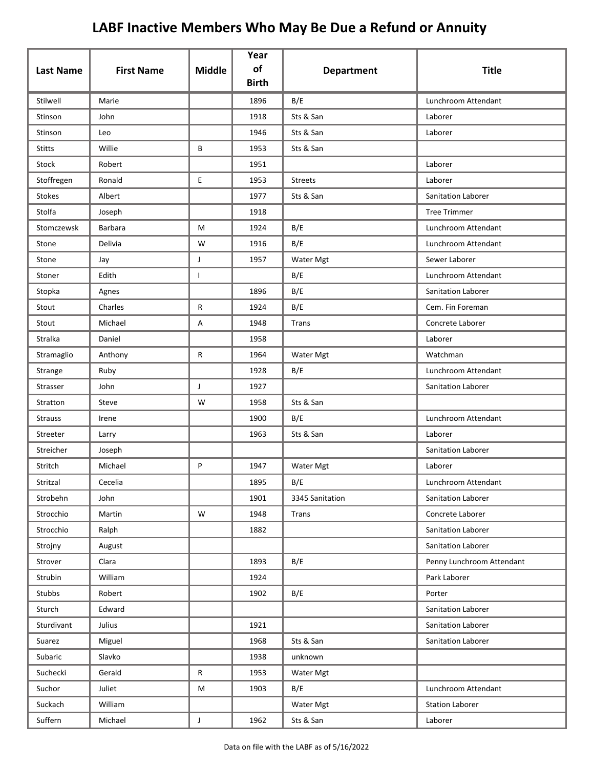| <b>Last Name</b> | <b>First Name</b> | <b>Middle</b>  | Year<br>of<br><b>Birth</b> | <b>Department</b> | <b>Title</b>              |
|------------------|-------------------|----------------|----------------------------|-------------------|---------------------------|
| Stilwell         | Marie             |                | 1896                       | B/E               | Lunchroom Attendant       |
| Stinson          | John              |                | 1918                       | Sts & San         | Laborer                   |
| Stinson          | Leo               |                | 1946                       | Sts & San         | Laborer                   |
| <b>Stitts</b>    | Willie            | В              | 1953                       | Sts & San         |                           |
| Stock            | Robert            |                | 1951                       |                   | Laborer                   |
| Stoffregen       | Ronald            | E              | 1953                       | <b>Streets</b>    | Laborer                   |
| Stokes           | Albert            |                | 1977                       | Sts & San         | Sanitation Laborer        |
| Stolfa           | Joseph            |                | 1918                       |                   | <b>Tree Trimmer</b>       |
| Stomczewsk       | <b>Barbara</b>    | M              | 1924                       | B/E               | Lunchroom Attendant       |
| Stone            | Delivia           | W              | 1916                       | B/E               | Lunchroom Attendant       |
| Stone            | Jay               | J              | 1957                       | Water Mgt         | Sewer Laborer             |
| Stoner           | Edith             | $\mathbf{I}$   |                            | B/E               | Lunchroom Attendant       |
| Stopka           | Agnes             |                | 1896                       | B/E               | Sanitation Laborer        |
| Stout            | Charles           | R              | 1924                       | B/E               | Cem. Fin Foreman          |
| Stout            | Michael           | Α              | 1948                       | Trans             | Concrete Laborer          |
| Stralka          | Daniel            |                | 1958                       |                   | Laborer                   |
| Stramaglio       | Anthony           | R              | 1964                       | Water Mgt         | Watchman                  |
| Strange          | Ruby              |                | 1928                       | B/E               | Lunchroom Attendant       |
| Strasser         | John              | J              | 1927                       |                   | Sanitation Laborer        |
| Stratton         | Steve             | W              | 1958                       | Sts & San         |                           |
| <b>Strauss</b>   | Irene             |                | 1900                       | B/E               | Lunchroom Attendant       |
| Streeter         | Larry             |                | 1963                       | Sts & San         | Laborer                   |
| Streicher        | Joseph            |                |                            |                   | Sanitation Laborer        |
| Stritch          | Michael           | P              | 1947                       | Water Mgt         | Laborer                   |
| Stritzal         | Cecelia           |                | 1895                       | B/E               | Lunchroom Attendant       |
| Strobehn         | John              |                | 1901                       | 3345 Sanitation   | Sanitation Laborer        |
| Strocchio        | Martin            | ${\sf W}$      | 1948                       | Trans             | Concrete Laborer          |
| Strocchio        | Ralph             |                | 1882                       |                   | Sanitation Laborer        |
| Strojny          | August            |                |                            |                   | Sanitation Laborer        |
| Strover          | Clara             |                | 1893                       | B/E               | Penny Lunchroom Attendant |
| Strubin          | William           |                | 1924                       |                   | Park Laborer              |
| Stubbs           | Robert            |                | 1902                       | B/E               | Porter                    |
| Sturch           | Edward            |                |                            |                   | Sanitation Laborer        |
| Sturdivant       | Julius            |                | 1921                       |                   | Sanitation Laborer        |
| Suarez           | Miguel            |                | 1968                       | Sts & San         | Sanitation Laborer        |
| Subaric          | Slavko            |                | 1938                       | unknown           |                           |
| Suchecki         | Gerald            | ${\sf R}$      | 1953                       | Water Mgt         |                           |
| Suchor           | Juliet            | M              | 1903                       | B/E               | Lunchroom Attendant       |
| Suckach          | William           |                |                            | Water Mgt         | <b>Station Laborer</b>    |
| Suffern          | Michael           | $\mathsf{J}^-$ | 1962                       | Sts & San         | Laborer                   |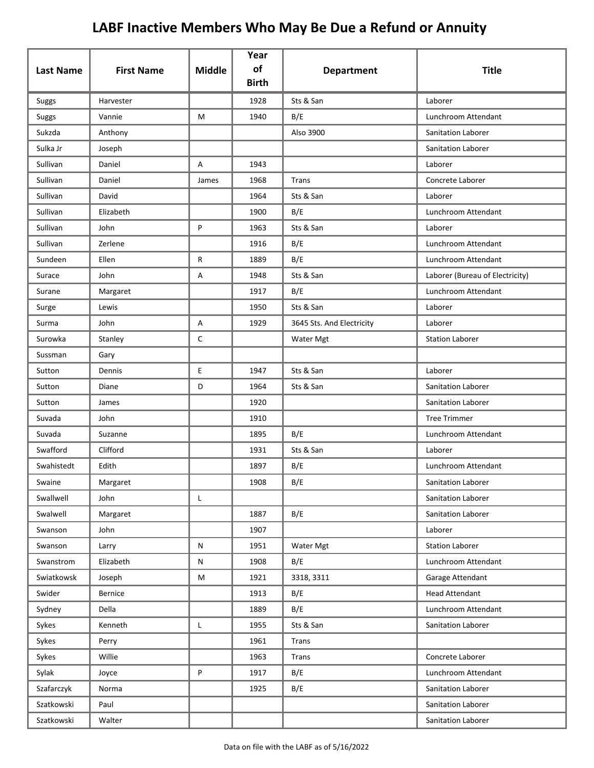| <b>Last Name</b> | <b>First Name</b> | <b>Middle</b> | Year<br>of   | <b>Department</b>         | <b>Title</b>                    |
|------------------|-------------------|---------------|--------------|---------------------------|---------------------------------|
|                  |                   |               | <b>Birth</b> |                           |                                 |
| Suggs            | Harvester         |               | 1928         | Sts & San                 | Laborer                         |
| <b>Suggs</b>     | Vannie            | М             | 1940         | B/E                       | Lunchroom Attendant             |
| Sukzda           | Anthony           |               |              | Also 3900                 | Sanitation Laborer              |
| Sulka Jr         | Joseph            |               |              |                           | Sanitation Laborer              |
| Sullivan         | Daniel            | A             | 1943         |                           | Laborer                         |
| Sullivan         | Daniel            | James         | 1968         | <b>Trans</b>              | Concrete Laborer                |
| Sullivan         | David             |               | 1964         | Sts & San                 | Laborer                         |
| Sullivan         | Elizabeth         |               | 1900         | B/E                       | Lunchroom Attendant             |
| Sullivan         | John              | P             | 1963         | Sts & San                 | Laborer                         |
| Sullivan         | Zerlene           |               | 1916         | B/E                       | Lunchroom Attendant             |
| Sundeen          | Ellen             | R             | 1889         | B/E                       | Lunchroom Attendant             |
| Surace           | John              | Α             | 1948         | Sts & San                 | Laborer (Bureau of Electricity) |
| Surane           | Margaret          |               | 1917         | B/E                       | Lunchroom Attendant             |
| Surge            | Lewis             |               | 1950         | Sts & San                 | Laborer                         |
| Surma            | John              | Α             | 1929         | 3645 Sts. And Electricity | Laborer                         |
| Surowka          | Stanley           | $\mathsf{C}$  |              | Water Mgt                 | <b>Station Laborer</b>          |
| Sussman          | Gary              |               |              |                           |                                 |
| Sutton           | Dennis            | E             | 1947         | Sts & San                 | Laborer                         |
| Sutton           | Diane             | D             | 1964         | Sts & San                 | Sanitation Laborer              |
| Sutton           | James             |               | 1920         |                           | Sanitation Laborer              |
| Suvada           | John              |               | 1910         |                           | <b>Tree Trimmer</b>             |
| Suvada           | Suzanne           |               | 1895         | B/E                       | Lunchroom Attendant             |
| Swafford         | Clifford          |               | 1931         | Sts & San                 | Laborer                         |
| Swahistedt       | Edith             |               | 1897         | B/E                       | Lunchroom Attendant             |
| Swaine           | Margaret          |               | 1908         | B/E                       | Sanitation Laborer              |
| Swallwell        | John              | L             |              |                           | Sanitation Laborer              |
| Swalwell         | Margaret          |               | 1887         | B/E                       | Sanitation Laborer              |
| Swanson          | John              |               | 1907         |                           | Laborer                         |
| Swanson          | Larry             | ${\sf N}$     | 1951         | Water Mgt                 | <b>Station Laborer</b>          |
| Swanstrom        | Elizabeth         | ${\sf N}$     | 1908         | B/E                       | Lunchroom Attendant             |
| Swiatkowsk       | Joseph            | M             | 1921         | 3318, 3311                | Garage Attendant                |
| Swider           | <b>Bernice</b>    |               | 1913         | B/E                       | <b>Head Attendant</b>           |
| Sydney           | Della             |               | 1889         | B/E                       | Lunchroom Attendant             |
| Sykes            | Kenneth           | L             | 1955         | Sts & San                 | Sanitation Laborer              |
| Sykes            | Perry             |               | 1961         | <b>Trans</b>              |                                 |
| Sykes            | Willie            |               | 1963         | Trans                     | Concrete Laborer                |
| Sylak            | Joyce             | P             | 1917         | B/E                       | Lunchroom Attendant             |
| Szafarczyk       | Norma             |               | 1925         | B/E                       | Sanitation Laborer              |
| Szatkowski       | Paul              |               |              |                           | Sanitation Laborer              |
| Szatkowski       | Walter            |               |              |                           | Sanitation Laborer              |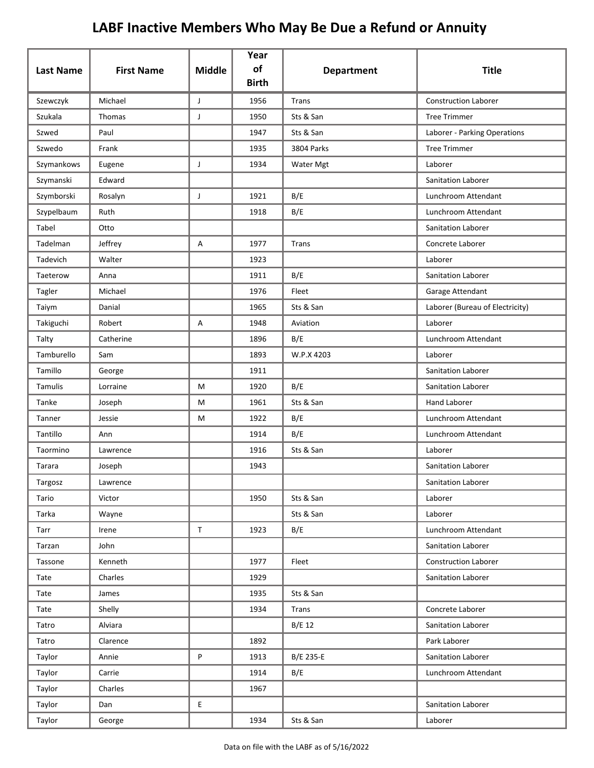| <b>Last Name</b> | <b>First Name</b> | <b>Middle</b> | Year<br>of<br><b>Birth</b> | <b>Department</b> | <b>Title</b>                    |
|------------------|-------------------|---------------|----------------------------|-------------------|---------------------------------|
| Szewczyk         | Michael           | $\mathsf J$   | 1956                       | <b>Trans</b>      | <b>Construction Laborer</b>     |
| Szukala          | Thomas            | J             | 1950                       | Sts & San         | <b>Tree Trimmer</b>             |
| Szwed            | Paul              |               | 1947                       | Sts & San         | Laborer - Parking Operations    |
| Szwedo           | Frank             |               | 1935                       | 3804 Parks        | <b>Tree Trimmer</b>             |
| Szymankows       | Eugene            | J             | 1934                       | Water Mgt         | Laborer                         |
| Szymanski        | Edward            |               |                            |                   | Sanitation Laborer              |
| Szymborski       | Rosalyn           | J             | 1921                       | B/E               | Lunchroom Attendant             |
| Szypelbaum       | Ruth              |               | 1918                       | B/E               | Lunchroom Attendant             |
| Tabel            | Otto              |               |                            |                   | <b>Sanitation Laborer</b>       |
| Tadelman         | Jeffrey           | Α             | 1977                       | Trans             | Concrete Laborer                |
| Tadevich         | Walter            |               | 1923                       |                   | Laborer                         |
| Taeterow         | Anna              |               | 1911                       | B/E               | <b>Sanitation Laborer</b>       |
| Tagler           | Michael           |               | 1976                       | Fleet             | Garage Attendant                |
| Taiym            | Danial            |               | 1965                       | Sts & San         | Laborer (Bureau of Electricity) |
| Takiguchi        | Robert            | Α             | 1948                       | Aviation          | Laborer                         |
| Talty            | Catherine         |               | 1896                       | B/E               | Lunchroom Attendant             |
| Tamburello       | Sam               |               | 1893                       | W.P.X 4203        | Laborer                         |
| Tamillo          | George            |               | 1911                       |                   | Sanitation Laborer              |
| Tamulis          | Lorraine          | M             | 1920                       | B/E               | Sanitation Laborer              |
| Tanke            | Joseph            | M             | 1961                       | Sts & San         | <b>Hand Laborer</b>             |
| Tanner           | Jessie            | М             | 1922                       | B/E               | Lunchroom Attendant             |
| Tantillo         | Ann               |               | 1914                       | B/E               | Lunchroom Attendant             |
| Taormino         | Lawrence          |               | 1916                       | Sts & San         | Laborer                         |
| Tarara           | Joseph            |               | 1943                       |                   | <b>Sanitation Laborer</b>       |
| Targosz          | Lawrence          |               |                            |                   | Sanitation Laborer              |
| Tario            | Victor            |               | 1950                       | Sts & San         | Laborer                         |
| Tarka            | Wayne             |               |                            | Sts & San         | Laborer                         |
| Tarr             | Irene             | $\mathsf{T}$  | 1923                       | B/E               | Lunchroom Attendant             |
| Tarzan           | John              |               |                            |                   | Sanitation Laborer              |
| Tassone          | Kenneth           |               | 1977                       | Fleet             | <b>Construction Laborer</b>     |
| Tate             | Charles           |               | 1929                       |                   | Sanitation Laborer              |
| Tate             | James             |               | 1935                       | Sts & San         |                                 |
| Tate             | Shelly            |               | 1934                       | <b>Trans</b>      | Concrete Laborer                |
| Tatro            | Alviara           |               |                            | $B/E$ 12          | Sanitation Laborer              |
| Tatro            | Clarence          |               | 1892                       |                   | Park Laborer                    |
| Taylor           | Annie             | P             | 1913                       | B/E 235-E         | Sanitation Laborer              |
| Taylor           | Carrie            |               | 1914                       | B/E               | Lunchroom Attendant             |
| Taylor           | Charles           |               | 1967                       |                   |                                 |
| Taylor           | Dan               | E.            |                            |                   | Sanitation Laborer              |
| Taylor           | George            |               | 1934                       | Sts & San         | Laborer                         |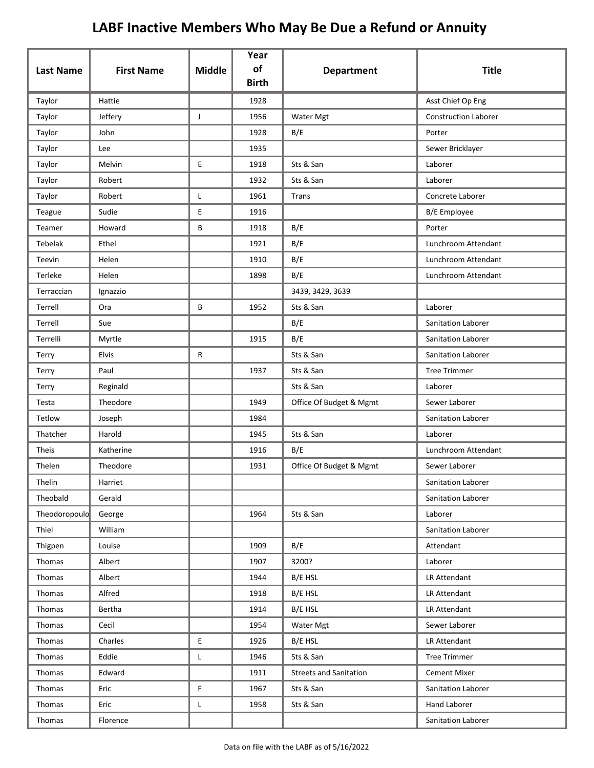|                  |                   | <b>Middle</b> | Year<br>of   |                               | <b>Title</b>                |
|------------------|-------------------|---------------|--------------|-------------------------------|-----------------------------|
| <b>Last Name</b> | <b>First Name</b> |               | <b>Birth</b> | <b>Department</b>             |                             |
| Taylor           | Hattie            |               | 1928         |                               | Asst Chief Op Eng           |
| Taylor           | Jeffery           | J             | 1956         | Water Mgt                     | <b>Construction Laborer</b> |
| Taylor           | John              |               | 1928         | B/E                           | Porter                      |
| Taylor           | Lee               |               | 1935         |                               | Sewer Bricklayer            |
| Taylor           | Melvin            | E             | 1918         | Sts & San                     | Laborer                     |
| Taylor           | Robert            |               | 1932         | Sts & San                     | Laborer                     |
| Taylor           | Robert            | L             | 1961         | Trans                         | Concrete Laborer            |
| Teague           | Sudie             | E             | 1916         |                               | B/E Employee                |
| Teamer           | Howard            | В             | 1918         | B/E                           | Porter                      |
| Tebelak          | Ethel             |               | 1921         | B/E                           | Lunchroom Attendant         |
| Teevin           | Helen             |               | 1910         | B/E                           | Lunchroom Attendant         |
| Terleke          | Helen             |               | 1898         | B/E                           | Lunchroom Attendant         |
| Terraccian       | Ignazzio          |               |              | 3439, 3429, 3639              |                             |
| Terrell          | Ora               | B             | 1952         | Sts & San                     | Laborer                     |
| Terrell          | Sue               |               |              | B/E                           | Sanitation Laborer          |
| Terrelli         | Myrtle            |               | 1915         | B/E                           | Sanitation Laborer          |
| Terry            | Elvis             | R             |              | Sts & San                     | Sanitation Laborer          |
| Terry            | Paul              |               | 1937         | Sts & San                     | <b>Tree Trimmer</b>         |
| Terry            | Reginald          |               |              | Sts & San                     | Laborer                     |
| Testa            | Theodore          |               | 1949         | Office Of Budget & Mgmt       | Sewer Laborer               |
| Tetlow           | Joseph            |               | 1984         |                               | Sanitation Laborer          |
| Thatcher         | Harold            |               | 1945         | Sts & San                     | Laborer                     |
| Theis            | Katherine         |               | 1916         | B/E                           | Lunchroom Attendant         |
| Thelen           | Theodore          |               | 1931         | Office Of Budget & Mgmt       | Sewer Laborer               |
| Thelin           | Harriet           |               |              |                               | Sanitation Laborer          |
| Theobald         | Gerald            |               |              |                               | Sanitation Laborer          |
| Theodoropoulo    | George            |               | 1964         | Sts & San                     | Laborer                     |
| Thiel            | William           |               |              |                               | Sanitation Laborer          |
| Thigpen          | Louise            |               | 1909         | B/E                           | Attendant                   |
| Thomas           | Albert            |               | 1907         | 3200?                         | Laborer                     |
| Thomas           | Albert            |               | 1944         | B/E HSL                       | LR Attendant                |
| Thomas           | Alfred            |               | 1918         | B/E HSL                       | LR Attendant                |
| Thomas           | Bertha            |               | 1914         | B/E HSL                       | LR Attendant                |
| Thomas           | Cecil             |               | 1954         | Water Mgt                     | Sewer Laborer               |
| Thomas           | Charles           | E             | 1926         | B/E HSL                       | LR Attendant                |
| Thomas           | Eddie             | L             | 1946         | Sts & San                     | <b>Tree Trimmer</b>         |
| Thomas           | Edward            |               | 1911         | <b>Streets and Sanitation</b> | <b>Cement Mixer</b>         |
| Thomas           | Eric              | F             | 1967         | Sts & San                     | Sanitation Laborer          |
| Thomas           | Eric              | L             | 1958         | Sts & San                     | Hand Laborer                |
| Thomas           | Florence          |               |              |                               | Sanitation Laborer          |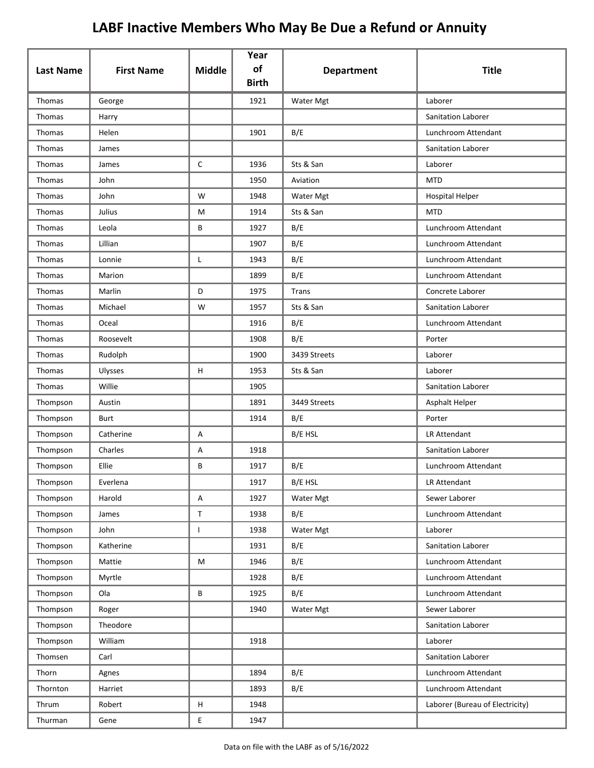|                  |                   |               | Year<br>of   |                   |                                 |
|------------------|-------------------|---------------|--------------|-------------------|---------------------------------|
| <b>Last Name</b> | <b>First Name</b> | <b>Middle</b> | <b>Birth</b> | <b>Department</b> | <b>Title</b>                    |
| Thomas           | George            |               | 1921         | Water Mgt         | Laborer                         |
| Thomas           | Harry             |               |              |                   | <b>Sanitation Laborer</b>       |
| Thomas           | Helen             |               | 1901         | B/E               | Lunchroom Attendant             |
| <b>Thomas</b>    | James             |               |              |                   | <b>Sanitation Laborer</b>       |
| Thomas           | James             | $\mathsf{C}$  | 1936         | Sts & San         | Laborer                         |
| <b>Thomas</b>    | John              |               | 1950         | Aviation          | <b>MTD</b>                      |
| Thomas           | John              | W             | 1948         | Water Mgt         | <b>Hospital Helper</b>          |
| Thomas           | Julius            | M             | 1914         | Sts & San         | <b>MTD</b>                      |
| Thomas           | Leola             | В             | 1927         | B/E               | Lunchroom Attendant             |
| Thomas           | Lillian           |               | 1907         | B/E               | Lunchroom Attendant             |
| Thomas           | Lonnie            | L             | 1943         | B/E               | Lunchroom Attendant             |
| Thomas           | Marion            |               | 1899         | B/E               | Lunchroom Attendant             |
| Thomas           | Marlin            | D             | 1975         | Trans             | Concrete Laborer                |
| Thomas           | Michael           | W             | 1957         | Sts & San         | <b>Sanitation Laborer</b>       |
| Thomas           | Oceal             |               | 1916         | B/E               | Lunchroom Attendant             |
| Thomas           | Roosevelt         |               | 1908         | B/E               | Porter                          |
| Thomas           | Rudolph           |               | 1900         | 3439 Streets      | Laborer                         |
| Thomas           | Ulysses           | H             | 1953         | Sts & San         | Laborer                         |
| Thomas           | Willie            |               | 1905         |                   | Sanitation Laborer              |
| Thompson         | Austin            |               | 1891         | 3449 Streets      | Asphalt Helper                  |
| Thompson         | <b>Burt</b>       |               | 1914         | B/E               | Porter                          |
| Thompson         | Catherine         | A             |              | B/E HSL           | LR Attendant                    |
| Thompson         | Charles           | Α             | 1918         |                   | Sanitation Laborer              |
| Thompson         | Ellie             | В             | 1917         | B/E               | Lunchroom Attendant             |
| Thompson         | Everlena          |               | 1917         | B/E HSL           | LR Attendant                    |
| Thompson         | Harold            | A             | 1927         | Water Mgt         | Sewer Laborer                   |
| Thompson         | James             | T             | 1938         | B/E               | Lunchroom Attendant             |
| Thompson         | John              | L             | 1938         | Water Mgt         | Laborer                         |
| Thompson         | Katherine         |               | 1931         | B/E               | Sanitation Laborer              |
| Thompson         | Mattie            | M             | 1946         | B/E               | Lunchroom Attendant             |
| Thompson         | Myrtle            |               | 1928         | B/E               | Lunchroom Attendant             |
| Thompson         | Ola               | В             | 1925         | B/E               | Lunchroom Attendant             |
| Thompson         | Roger             |               | 1940         | Water Mgt         | Sewer Laborer                   |
| Thompson         | Theodore          |               |              |                   | Sanitation Laborer              |
| Thompson         | William           |               | 1918         |                   | Laborer                         |
| Thomsen          | Carl              |               |              |                   | Sanitation Laborer              |
| Thorn            | Agnes             |               | 1894         | B/E               | Lunchroom Attendant             |
| Thornton         | Harriet           |               | 1893         | B/E               | Lunchroom Attendant             |
| Thrum            | Robert            | н             | 1948         |                   | Laborer (Bureau of Electricity) |
| Thurman          | Gene              | E             | 1947         |                   |                                 |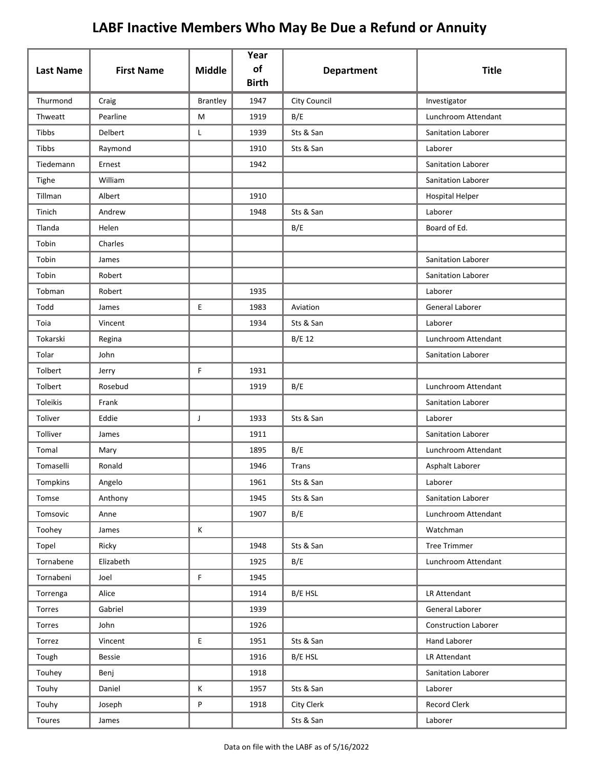| <b>Last Name</b> | <b>First Name</b> | <b>Middle</b>   | Year<br>of<br><b>Birth</b> | <b>Department</b>   | <b>Title</b>                |
|------------------|-------------------|-----------------|----------------------------|---------------------|-----------------------------|
| Thurmond         | Craig             | <b>Brantley</b> | 1947                       | <b>City Council</b> | Investigator                |
| Thweatt          | Pearline          | M               | 1919                       | B/E                 | Lunchroom Attendant         |
| Tibbs            | Delbert           | L               | 1939                       | Sts & San           | Sanitation Laborer          |
| Tibbs            | Raymond           |                 | 1910                       | Sts & San           | Laborer                     |
| Tiedemann        | Ernest            |                 | 1942                       |                     | Sanitation Laborer          |
| Tighe            | William           |                 |                            |                     | Sanitation Laborer          |
| Tillman          | Albert            |                 | 1910                       |                     | <b>Hospital Helper</b>      |
| Tinich           | Andrew            |                 | 1948                       | Sts & San           | Laborer                     |
| Tlanda           | Helen             |                 |                            | B/E                 | Board of Ed.                |
| Tobin            | Charles           |                 |                            |                     |                             |
| Tobin            | James             |                 |                            |                     | Sanitation Laborer          |
| Tobin            | Robert            |                 |                            |                     | <b>Sanitation Laborer</b>   |
| Tobman           | Robert            |                 | 1935                       |                     | Laborer                     |
| Todd             | James             | E               | 1983                       | Aviation            | General Laborer             |
| Toia             | Vincent           |                 | 1934                       | Sts & San           | Laborer                     |
| Tokarski         | Regina            |                 |                            | B/E 12              | Lunchroom Attendant         |
| Tolar            | John              |                 |                            |                     | Sanitation Laborer          |
| Tolbert          | Jerry             | F.              | 1931                       |                     |                             |
| Tolbert          | Rosebud           |                 | 1919                       | B/E                 | Lunchroom Attendant         |
| Toleikis         | Frank             |                 |                            |                     | Sanitation Laborer          |
| Toliver          | Eddie             | J               | 1933                       | Sts & San           | Laborer                     |
| Tolliver         | James             |                 | 1911                       |                     | Sanitation Laborer          |
| Tomal            | Mary              |                 | 1895                       | B/E                 | Lunchroom Attendant         |
| Tomaselli        | Ronald            |                 | 1946                       | Trans               | Asphalt Laborer             |
| Tompkins         | Angelo            |                 | 1961                       | Sts & San           | Laborer                     |
| Tomse            | Anthony           |                 | 1945                       | Sts & San           | Sanitation Laborer          |
| Tomsovic         | Anne              |                 | 1907                       | B/E                 | Lunchroom Attendant         |
| Toohey           | James             | Κ               |                            |                     | Watchman                    |
| Topel            | Ricky             |                 | 1948                       | Sts & San           | <b>Tree Trimmer</b>         |
| Tornabene        | Elizabeth         |                 | 1925                       | B/E                 | Lunchroom Attendant         |
| Tornabeni        | Joel              | F               | 1945                       |                     |                             |
| Torrenga         | Alice             |                 | 1914                       | B/E HSL             | LR Attendant                |
| Torres           | Gabriel           |                 | 1939                       |                     | General Laborer             |
| Torres           | John              |                 | 1926                       |                     | <b>Construction Laborer</b> |
| Torrez           | Vincent           | E               | 1951                       | Sts & San           | Hand Laborer                |
| Tough            | <b>Bessie</b>     |                 | 1916                       | B/E HSL             | LR Attendant                |
| Touhey           | Benj              |                 | 1918                       |                     | Sanitation Laborer          |
| Touhy            | Daniel            | K               | 1957                       | Sts & San           | Laborer                     |
| Touhy            | Joseph            | P               | 1918                       | City Clerk          | Record Clerk                |
| Toures           | James             |                 |                            | Sts & San           | Laborer                     |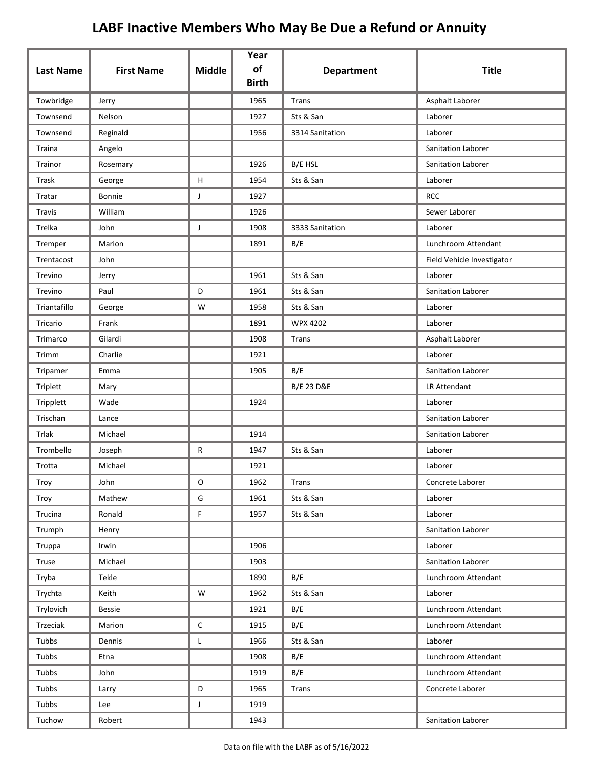| <b>Last Name</b> | <b>First Name</b> | <b>Middle</b> | Year<br>of   |                       | <b>Title</b>               |
|------------------|-------------------|---------------|--------------|-----------------------|----------------------------|
|                  |                   |               | <b>Birth</b> | <b>Department</b>     |                            |
| Towbridge        | Jerry             |               | 1965         | Trans                 | Asphalt Laborer            |
| Townsend         | Nelson            |               | 1927         | Sts & San             | Laborer                    |
| Townsend         | Reginald          |               | 1956         | 3314 Sanitation       | Laborer                    |
| Traina           | Angelo            |               |              |                       | <b>Sanitation Laborer</b>  |
| Trainor          | Rosemary          |               | 1926         | B/E HSL               | Sanitation Laborer         |
| Trask            | George            | H             | 1954         | Sts & San             | Laborer                    |
| Tratar           | Bonnie            | J             | 1927         |                       | <b>RCC</b>                 |
| Travis           | William           |               | 1926         |                       | Sewer Laborer              |
| Trelka           | John              | J             | 1908         | 3333 Sanitation       | Laborer                    |
| Tremper          | Marion            |               | 1891         | B/E                   | Lunchroom Attendant        |
| Trentacost       | John              |               |              |                       | Field Vehicle Investigator |
| Trevino          | Jerry             |               | 1961         | Sts & San             | Laborer                    |
| Trevino          | Paul              | D             | 1961         | Sts & San             | <b>Sanitation Laborer</b>  |
| Triantafillo     | George            | W             | 1958         | Sts & San             | Laborer                    |
| Tricario         | Frank             |               | 1891         | <b>WPX 4202</b>       | Laborer                    |
| Trimarco         | Gilardi           |               | 1908         | Trans                 | Asphalt Laborer            |
| Trimm            | Charlie           |               | 1921         |                       | Laborer                    |
| Tripamer         | Emma              |               | 1905         | B/E                   | Sanitation Laborer         |
| Triplett         | Mary              |               |              | <b>B/E 23 D&amp;E</b> | LR Attendant               |
| Tripplett        | Wade              |               | 1924         |                       | Laborer                    |
| Trischan         | Lance             |               |              |                       | Sanitation Laborer         |
| Trlak            | Michael           |               | 1914         |                       | Sanitation Laborer         |
| Trombello        | Joseph            | R             | 1947         | Sts & San             | Laborer                    |
| Trotta           | Michael           |               | 1921         |                       | Laborer                    |
| Troy             | John              | 0             | 1962         | Trans                 | Concrete Laborer           |
| Troy             | Mathew            | G             | 1961         | Sts & San             | Laborer                    |
| Trucina          | Ronald            | F             | 1957         | Sts & San             | Laborer                    |
| Trumph           | Henry             |               |              |                       | Sanitation Laborer         |
| Truppa           | Irwin             |               | 1906         |                       | Laborer                    |
| Truse            | Michael           |               | 1903         |                       | Sanitation Laborer         |
| Tryba            | Tekle             |               | 1890         | B/E                   | Lunchroom Attendant        |
| Trychta          | Keith             | W             | 1962         | Sts & San             | Laborer                    |
| Trylovich        | <b>Bessie</b>     |               | 1921         | B/E                   | Lunchroom Attendant        |
| Trzeciak         | Marion            | C             | 1915         | B/E                   | Lunchroom Attendant        |
| Tubbs            | Dennis            | Г             | 1966         | Sts & San             | Laborer                    |
| Tubbs            | Etna              |               | 1908         | B/E                   | Lunchroom Attendant        |
| Tubbs            | John              |               | 1919         | B/E                   | Lunchroom Attendant        |
| Tubbs            | Larry             | D             | 1965         | Trans                 | Concrete Laborer           |
| Tubbs            | Lee               | $\mathsf{J}$  | 1919         |                       |                            |
| Tuchow           | Robert            |               | 1943         |                       | Sanitation Laborer         |